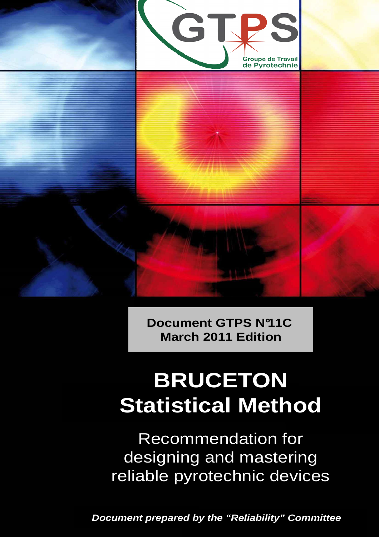

**Document GTPS N°11C March 2011 Edition**

# **BRUCETON Statistical Method**

Recommendation for designing and mastering reliable pyrotechnic devices

**Document prepared by the "Reliability" Committee**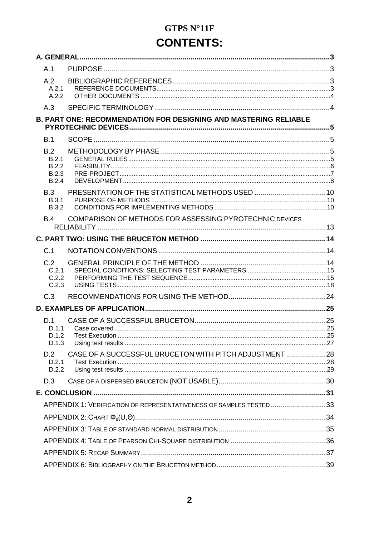## **GTPS N°11F CONTENTS:**

| A.1                                     |                                                                    |  |
|-----------------------------------------|--------------------------------------------------------------------|--|
| A.2<br>A.2.1<br>A.2.2                   |                                                                    |  |
| A.3                                     |                                                                    |  |
|                                         | B. PART ONE: RECOMMENDATION FOR DESIGNING AND MASTERING RELIABLE   |  |
| B.1                                     |                                                                    |  |
| B.2<br>B.2.1<br>B.2.2<br>B.2.3<br>B.2.4 |                                                                    |  |
| B.3<br><b>B.3.1</b><br><b>B.3.2</b>     |                                                                    |  |
| <b>B.4</b>                              | COMPARISON OF METHODS FOR ASSESSING PYROTECHNIC DEVICES            |  |
|                                         |                                                                    |  |
| C.1                                     |                                                                    |  |
| C.2<br>C.2.1<br>C.2.2<br>C.2.3          |                                                                    |  |
| C.3                                     |                                                                    |  |
|                                         |                                                                    |  |
| D.1<br>D.1.1<br>D.1.2<br>D.1.3          |                                                                    |  |
| D.2<br>D.2.1<br>D.2.2                   | CASE OF A SUCCESSFUL BRUCETON WITH PITCH ADJUSTMENT 28             |  |
| D.3                                     |                                                                    |  |
|                                         |                                                                    |  |
|                                         | APPENDIX 1: VERIFICATION OF REPRESENTATIVENESS OF SAMPLES TESTED33 |  |
|                                         |                                                                    |  |
|                                         |                                                                    |  |
|                                         |                                                                    |  |
|                                         |                                                                    |  |
|                                         |                                                                    |  |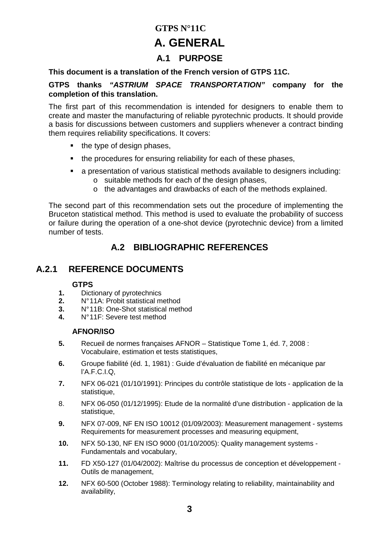### **GTPS N°11C A. GENERAL**

### **A.1 PURPOSE**

#### **This document is a translation of the French version of GTPS 11C.**

#### **GTPS thanks "ASTRIUM SPACE TRANSPORTATION" company for the completion of this translation.**

The first part of this recommendation is intended for designers to enable them to create and master the manufacturing of reliable pyrotechnic products. It should provide a basis for discussions between customers and suppliers whenever a contract binding them requires reliability specifications. It covers:

- the type of design phases,
- the procedures for ensuring reliability for each of these phases,
- a presentation of various statistical methods available to designers including:
	- o suitable methods for each of the design phases,
	- o the advantages and drawbacks of each of the methods explained.

The second part of this recommendation sets out the procedure of implementing the Bruceton statistical method. This method is used to evaluate the probability of success or failure during the operation of a one-shot device (pyrotechnic device) from a limited number of tests.

### **A.2 BIBLIOGRAPHIC REFERENCES**

### **A.2.1 REFERENCE DOCUMENTS**

#### **GTPS**

- **1.** Dictionary of pyrotechnics
- **2.** N° 11A: Probit statistical method
- **3.** N° 11B: One-Shot statistical method
- **4.** N° 11F: Severe test method

#### **AFNOR/ISO**

- **5.** Recueil de normes françaises AFNOR Statistique Tome 1, éd. 7, 2008 : Vocabulaire, estimation et tests statistiques,
- **6.** Groupe fiabilité (éd. 1, 1981) : Guide d'évaluation de fiabilité en mécanique par l'A.F.C.I.Q,
- **7.** NFX 06-021 (01/10/1991): Principes du contrôle statistique de lots application de la statistique.
- 8. NFX 06-050 (01/12/1995): Etude de la normalité d'une distribution application de la statistique,
- **9.** NFX 07-009, NF EN ISO 10012 (01/09/2003): Measurement management systems Requirements for measurement processes and measuring equipment,
- **10.** NFX 50-130, NF EN ISO 9000 (01/10/2005): Quality management systems Fundamentals and vocabulary,
- **11.** FD X50-127 (01/04/2002): Maîtrise du processus de conception et développement Outils de management,
- **12.** NFX 60-500 (October 1988): Terminology relating to reliability, maintainability and availability,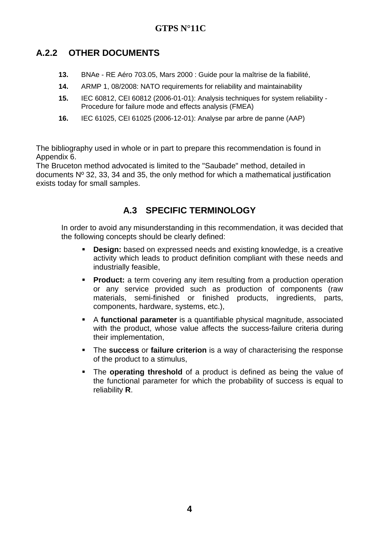### **A.2.2 OTHER DOCUMENTS**

- **13.** BNAe RE Aéro 703.05, Mars 2000 : Guide pour la maîtrise de la fiabilité,
- **14.** ARMP 1, 08/2008: NATO requirements for reliability and maintainability
- **15.** IEC 60812, CEI 60812 (2006-01-01): Analysis techniques for system reliability Procedure for failure mode and effects analysis (FMEA)
- **16.** IEC 61025, CEI 61025 (2006-12-01): Analyse par arbre de panne (AAP)

The bibliography used in whole or in part to prepare this recommendation is found in Appendix 6.

The Bruceton method advocated is limited to the "Saubade" method, detailed in documents Nº 32, 33, 34 and 35, the only method for which a mathematical justification exists today for small samples.

### **A.3 SPECIFIC TERMINOLOGY**

In order to avoid any misunderstanding in this recommendation, it was decided that the following concepts should be clearly defined:

- **Design:** based on expressed needs and existing knowledge, is a creative activity which leads to product definition compliant with these needs and industrially feasible,
- **Product:** a term covering any item resulting from a production operation or any service provided such as production of components (raw materials, semi-finished or finished products, ingredients, parts, components, hardware, systems, etc.),
- A **functional parameter** is a quantifiable physical magnitude, associated with the product, whose value affects the success-failure criteria during their implementation,
- The **success** or **failure criterion** is a way of characterising the response of the product to a stimulus,
- The **operating threshold** of a product is defined as being the value of the functional parameter for which the probability of success is equal to reliability **R**.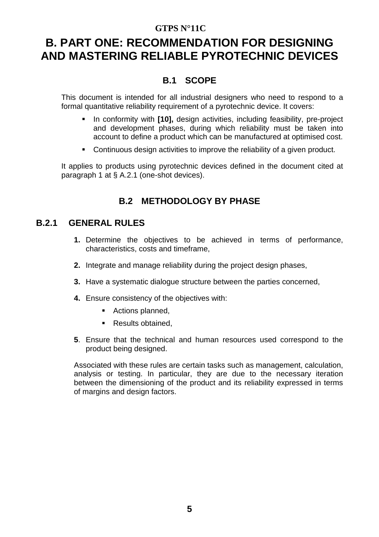### **B. PART ONE: RECOMMENDATION FOR DESIGNING AND MASTERING RELIABLE PYROTECHNIC DEVICES**

### **B.1 SCOPE**

This document is intended for all industrial designers who need to respond to a formal quantitative reliability requirement of a pyrotechnic device. It covers:

- **In conformity with [10], design activities, including feasibility, pre-project** and development phases, during which reliability must be taken into account to define a product which can be manufactured at optimised cost.
- Continuous design activities to improve the reliability of a given product.

It applies to products using pyrotechnic devices defined in the document cited at paragraph 1 at § A.2.1 (one-shot devices).

### **B.2 METHODOLOGY BY PHASE**

### **B.2.1 GENERAL RULES**

- **1.** Determine the objectives to be achieved in terms of performance, characteristics, costs and timeframe,
- **2.** Integrate and manage reliability during the project design phases,
- **3.** Have a systematic dialogue structure between the parties concerned,
- **4.** Ensure consistency of the objectives with:
	- Actions planned,
	- Results obtained,
- **5**. Ensure that the technical and human resources used correspond to the product being designed.

Associated with these rules are certain tasks such as management, calculation, analysis or testing. In particular, they are due to the necessary iteration between the dimensioning of the product and its reliability expressed in terms of margins and design factors.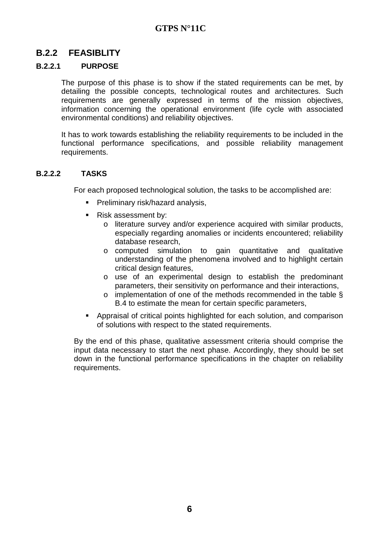### **B.2.2 FEASIBLITY**

#### **B.2.2.1 PURPOSE**

The purpose of this phase is to show if the stated requirements can be met, by detailing the possible concepts, technological routes and architectures. Such requirements are generally expressed in terms of the mission objectives, information concerning the operational environment (life cycle with associated environmental conditions) and reliability objectives.

It has to work towards establishing the reliability requirements to be included in the functional performance specifications, and possible reliability management requirements.

#### **B.2.2.2 TASKS**

For each proposed technological solution, the tasks to be accomplished are:

- **Preliminary risk/hazard analysis,**
- Risk assessment by:
	- o literature survey and/or experience acquired with similar products, especially regarding anomalies or incidents encountered; reliability database research,
	- o computed simulation to gain quantitative and qualitative understanding of the phenomena involved and to highlight certain critical design features,
	- o use of an experimental design to establish the predominant parameters, their sensitivity on performance and their interactions,
	- o implementation of one of the methods recommended in the table § B.4 to estimate the mean for certain specific parameters,
- **Appraisal of critical points highlighted for each solution, and comparison** of solutions with respect to the stated requirements.

By the end of this phase, qualitative assessment criteria should comprise the input data necessary to start the next phase. Accordingly, they should be set down in the functional performance specifications in the chapter on reliability requirements.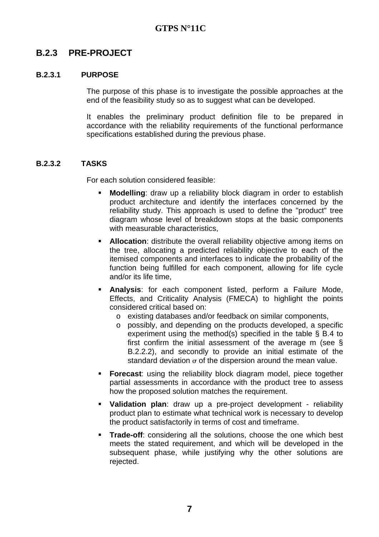### **B.2.3 PRE-PROJECT**

#### **B.2.3.1 PURPOSE**

The purpose of this phase is to investigate the possible approaches at the end of the feasibility study so as to suggest what can be developed.

It enables the preliminary product definition file to be prepared in accordance with the reliability requirements of the functional performance specifications established during the previous phase.

#### **B.2.3.2 TASKS**

For each solution considered feasible:

- **Modelling**: draw up a reliability block diagram in order to establish product architecture and identify the interfaces concerned by the reliability study. This approach is used to define the "product" tree diagram whose level of breakdown stops at the basic components with measurable characteristics.
- **Allocation**: distribute the overall reliability objective among items on the tree, allocating a predicted reliability objective to each of the itemised components and interfaces to indicate the probability of the function being fulfilled for each component, allowing for life cycle and/or its life time,
- **Analysis**: for each component listed, perform a Failure Mode, Effects, and Criticality Analysis (FMECA) to highlight the points considered critical based on:
	- o existing databases and/or feedback on similar components,
	- o possibly, and depending on the products developed, a specific experiment using the method(s) specified in the table § B.4 to first confirm the initial assessment of the average m (see § B.2.2.2), and secondly to provide an initial estimate of the standard deviation  $\sigma$  of the dispersion around the mean value.
- **Forecast:** using the reliability block diagram model, piece together partial assessments in accordance with the product tree to assess how the proposed solution matches the requirement.
- **Validation plan**: draw up a pre-project development reliability product plan to estimate what technical work is necessary to develop the product satisfactorily in terms of cost and timeframe.
- **Trade-off:** considering all the solutions, choose the one which best meets the stated requirement, and which will be developed in the subsequent phase, while justifying why the other solutions are rejected.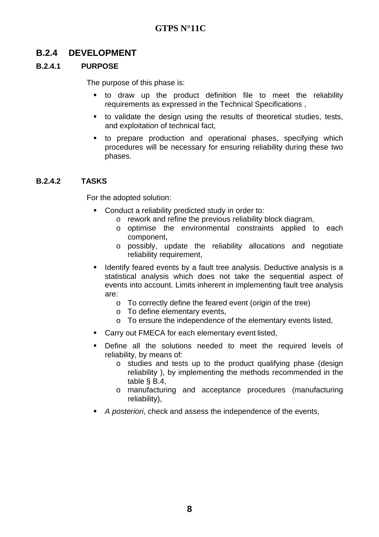### **B.2.4 DEVELOPMENT**

#### **B.2.4.1 PURPOSE**

The purpose of this phase is:

- to draw up the product definition file to meet the reliability requirements as expressed in the Technical Specifications ,
- to validate the design using the results of theoretical studies, tests, and exploitation of technical fact,
- to prepare production and operational phases, specifying which procedures will be necessary for ensuring reliability during these two phases.

#### **B.2.4.2 TASKS**

For the adopted solution:

- **Conduct a reliability predicted study in order to:** 
	- o rework and refine the previous reliability block diagram,
	- o optimise the environmental constraints applied to each component,
	- o possibly, update the reliability allocations and negotiate reliability requirement,
- **If Identify feared events by a fault tree analysis. Deductive analysis is a** statistical analysis which does not take the sequential aspect of events into account. Limits inherent in implementing fault tree analysis are:
	- o To correctly define the feared event (origin of the tree)
	- o To define elementary events,
	- o To ensure the independence of the elementary events listed,
- Carry out FMECA for each elementary event listed,
- Define all the solutions needed to meet the required levels of reliability, by means of:
	- o studies and tests up to the product qualifying phase (design reliability ), by implementing the methods recommended in the table § B.4,
	- o manufacturing and acceptance procedures (manufacturing reliability),
- A posteriori, check and assess the independence of the events,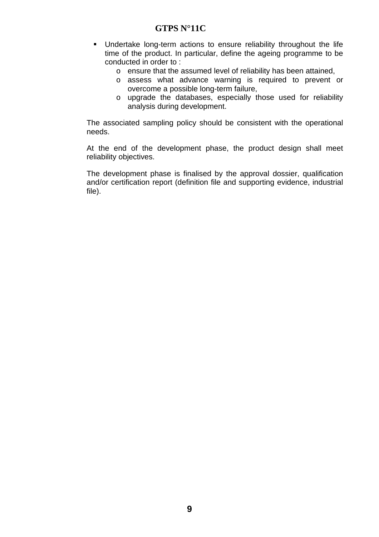- Undertake long-term actions to ensure reliability throughout the life time of the product. In particular, define the ageing programme to be conducted in order to :
	- o ensure that the assumed level of reliability has been attained,
	- o assess what advance warning is required to prevent or overcome a possible long-term failure,
	- o upgrade the databases, especially those used for reliability analysis during development.

The associated sampling policy should be consistent with the operational needs.

At the end of the development phase, the product design shall meet reliability objectives.

The development phase is finalised by the approval dossier, qualification and/or certification report (definition file and supporting evidence, industrial file).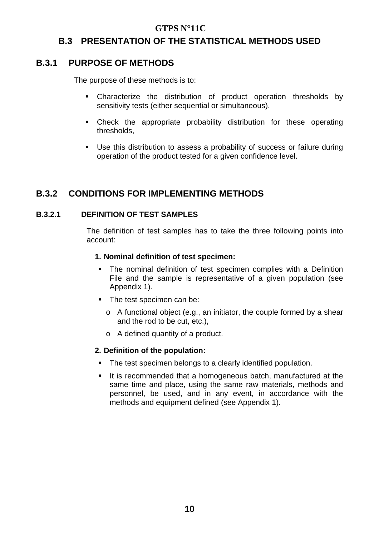### **B.3 PRESENTATION OF THE STATISTICAL METHODS USED**

### **B.3.1 PURPOSE OF METHODS**

The purpose of these methods is to:

- Characterize the distribution of product operation thresholds by sensitivity tests (either sequential or simultaneous).
- Check the appropriate probability distribution for these operating thresholds,
- Use this distribution to assess a probability of success or failure during operation of the product tested for a given confidence level.

### **B.3.2 CONDITIONS FOR IMPLEMENTING METHODS**

#### **B.3.2.1 DEFINITION OF TEST SAMPLES**

The definition of test samples has to take the three following points into account:

#### **1. Nominal definition of test specimen:**

- **The nominal definition of test specimen complies with a Definition** File and the sample is representative of a given population (see Appendix 1).
- The test specimen can be:
	- o A functional object (e.g., an initiator, the couple formed by a shear and the rod to be cut, etc.),
	- o A defined quantity of a product.

#### **2. Definition of the population:**

- The test specimen belongs to a clearly identified population.
- It is recommended that a homogeneous batch, manufactured at the same time and place, using the same raw materials, methods and personnel, be used, and in any event, in accordance with the methods and equipment defined (see Appendix 1).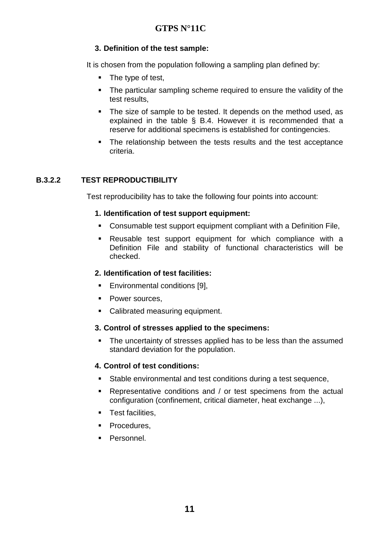#### **3. Definition of the test sample:**

It is chosen from the population following a sampling plan defined by:

- The type of test,
- The particular sampling scheme required to ensure the validity of the test results,
- The size of sample to be tested. It depends on the method used, as explained in the table § B.4. However it is recommended that a reserve for additional specimens is established for contingencies.
- The relationship between the tests results and the test acceptance criteria.

#### **B.3.2.2 TEST REPRODUCTIBILITY**

Test reproducibility has to take the following four points into account:

#### **1. Identification of test support equipment:**

- Consumable test support equipment compliant with a Definition File,
- Reusable test support equipment for which compliance with a Definition File and stability of functional characteristics will be checked.

#### **2. Identification of test facilities:**

- **Environmental conditions [9],**
- Power sources.
- Calibrated measuring equipment.

#### **3. Control of stresses applied to the specimens:**

• The uncertainty of stresses applied has to be less than the assumed standard deviation for the population.

#### **4. Control of test conditions:**

- Stable environmental and test conditions during a test sequence,
- Representative conditions and / or test specimens from the actual configuration (confinement, critical diameter, heat exchange ...),
- **Test facilities,**
- **Procedures.**
- **Personnel.**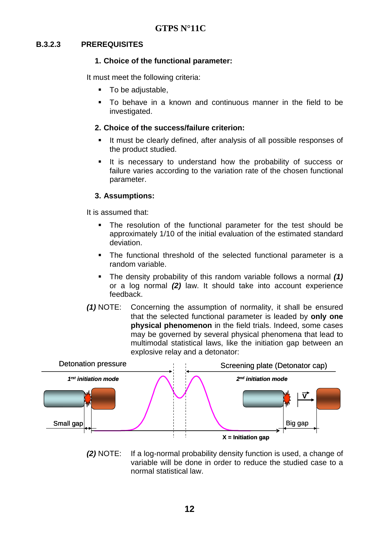#### **B.3.2.3 PREREQUISITES**

#### **1. Choice of the functional parameter:**

It must meet the following criteria:

- To be adjustable,
- To behave in a known and continuous manner in the field to be investigated.

#### **2. Choice of the success/failure criterion:**

- If must be clearly defined, after analysis of all possible responses of the product studied.
- It is necessary to understand how the probability of success or failure varies according to the variation rate of the chosen functional parameter.

#### **3. Assumptions:**

It is assumed that:

- The resolution of the functional parameter for the test should be approximately 1/10 of the initial evaluation of the estimated standard deviation.
- The functional threshold of the selected functional parameter is a random variable.
- The density probability of this random variable follows a normal **(1)** or a log normal **(2)** law. It should take into account experience feedback.
- **(1)** NOTE: Concerning the assumption of normality, it shall be ensured that the selected functional parameter is leaded by **only one physical phenomenon** in the field trials. Indeed, some cases may be governed by several physical phenomena that lead to multimodal statistical laws, like the initiation gap between an explosive relay and a detonator:



**(2)** NOTE: If a log-normal probability density function is used, a change of variable will be done in order to reduce the studied case to a normal statistical law.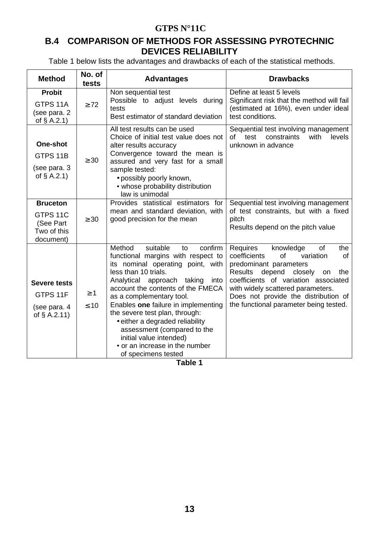### **B.4 COMPARISON OF METHODS FOR ASSESSING PYROTECHNIC DEVICES RELIABILITY**

Table 1 below lists the advantages and drawbacks of each of the statistical methods.

| <b>Method</b>                                                        | No. of<br>tests       | <b>Advantages</b>                                                                                                                                                                                                                                                                                                                                                                                                                                                            | <b>Drawbacks</b>                                                                                                                                                                                                                                                                                                         |
|----------------------------------------------------------------------|-----------------------|------------------------------------------------------------------------------------------------------------------------------------------------------------------------------------------------------------------------------------------------------------------------------------------------------------------------------------------------------------------------------------------------------------------------------------------------------------------------------|--------------------------------------------------------------------------------------------------------------------------------------------------------------------------------------------------------------------------------------------------------------------------------------------------------------------------|
| <b>Probit</b><br>GTPS 11A<br>(see para. 2<br>of $§$ A.2.1)           | $\geq 72$             | Non sequential test<br>Possible to adjust levels during<br>tests<br>Best estimator of standard deviation                                                                                                                                                                                                                                                                                                                                                                     | Define at least 5 levels<br>Significant risk that the method will fail<br>(estimated at 16%), even under ideal<br>test conditions.                                                                                                                                                                                       |
| One-shot<br>GTPS 11B<br>(see para. 3<br>of $§$ A.2.1)                | $\geq 30$             | All test results can be used<br>Choice of initial test value does not<br>alter results accuracy<br>Convergence toward the mean is<br>assured and very fast for a small<br>sample tested:<br>• possibly poorly known,<br>• whose probability distribution<br>law is unimodal                                                                                                                                                                                                  | Sequential test involving management<br>with<br>constraints<br>levels<br>οf<br>test<br>unknown in advance                                                                                                                                                                                                                |
| <b>Bruceton</b><br>GTPS 11C<br>(See Part<br>Two of this<br>document) | $\geq 30$             | Provides statistical estimators for<br>mean and standard deviation, with<br>good precision for the mean                                                                                                                                                                                                                                                                                                                                                                      | Sequential test involving management<br>of test constraints, but with a fixed<br>pitch<br>Results depend on the pitch value                                                                                                                                                                                              |
| <b>Severe tests</b><br>GTPS 11F<br>(see para. 4<br>of $§$ A.2.11)    | $\geq 1$<br>$\leq 10$ | suitable<br>confirm<br>Method<br>to<br>functional margins with respect to<br>its nominal operating point, with<br>less than 10 trials.<br>Analytical approach taking<br>into<br>account the contents of the FMECA<br>as a complementary tool.<br>Enables one failure in implementing<br>the severe test plan, through:<br>• either a degraded reliability<br>assessment (compared to the<br>initial value intended)<br>• or an increase in the number<br>of specimens tested | Requires<br>knowledge<br>0f<br>the<br>coefficients<br>of<br>variation<br>of<br>predominant parameters<br>depend<br>closely<br><b>Results</b><br>the<br>on<br>coefficients of variation associated<br>with widely scattered parameters.<br>Does not provide the distribution of<br>the functional parameter being tested. |

**Table 1**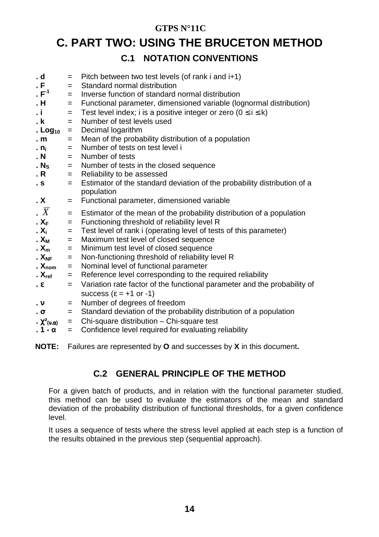### **C. PART TWO: USING THE BRUCETON METHOD**

### **C.1 NOTATION CONVENTIONS**

| . d<br>. F<br>. $\mathsf{F}^{\text{-}1}$<br>. H<br>. i<br>. k<br>. Log $_{10}$<br>. m<br>. $n_i$<br>. N | $=$<br>$=$<br>$=$<br>$=$<br>$=$<br>$=$<br>$=$<br>$=$<br>$=$<br>$=$ | Pitch between two test levels (of rank i and i+1)<br>Standard normal distribution<br>Inverse function of standard normal distribution<br>Functional parameter, dimensioned variable (lognormal distribution)<br>Test level index; i is a positive integer or zero $(0 \le i \le k)$<br>Number of test levels used<br>Decimal logarithm<br>Mean of the probability distribution of a population<br>Number of tests on test level i<br>Number of tests |
|---------------------------------------------------------------------------------------------------------|--------------------------------------------------------------------|------------------------------------------------------------------------------------------------------------------------------------------------------------------------------------------------------------------------------------------------------------------------------------------------------------------------------------------------------------------------------------------------------------------------------------------------------|
| . $N_S$                                                                                                 | $=$                                                                | Number of tests in the closed sequence                                                                                                                                                                                                                                                                                                                                                                                                               |
| . R                                                                                                     | $=$                                                                | Reliability to be assessed                                                                                                                                                                                                                                                                                                                                                                                                                           |
| . S                                                                                                     | $=$                                                                | Estimator of the standard deviation of the probability distribution of a                                                                                                                                                                                                                                                                                                                                                                             |
| . X                                                                                                     | $=$                                                                | population<br>Functional parameter, dimensioned variable                                                                                                                                                                                                                                                                                                                                                                                             |
| . $\overline{X}$                                                                                        | $=$                                                                | Estimator of the mean of the probability distribution of a population                                                                                                                                                                                                                                                                                                                                                                                |
| $X_F$                                                                                                   | $=$                                                                | Functioning threshold of reliability level R                                                                                                                                                                                                                                                                                                                                                                                                         |
| . X <sub>i</sub>                                                                                        | $=$                                                                | Test level of rank i (operating level of tests of this parameter)                                                                                                                                                                                                                                                                                                                                                                                    |
| $\mathbf{X}_{\mathsf{M}}$                                                                               | $=$                                                                | Maximum test level of closed sequence                                                                                                                                                                                                                                                                                                                                                                                                                |
| $\mathbf{X}_{\mathsf{m}}$                                                                               | $=$                                                                | Minimum test level of closed sequence                                                                                                                                                                                                                                                                                                                                                                                                                |
| . $X_{NF}$                                                                                              | $=$                                                                | Non-functioning threshold of reliability level R                                                                                                                                                                                                                                                                                                                                                                                                     |
| . $X_{nom}$                                                                                             | $=$                                                                | Nominal level of functional parameter                                                                                                                                                                                                                                                                                                                                                                                                                |
| . $X_{ref}$                                                                                             | $=$                                                                | Reference level corresponding to the required reliability                                                                                                                                                                                                                                                                                                                                                                                            |
| . ε                                                                                                     | $=$                                                                | Variation rate factor of the functional parameter and the probability of                                                                                                                                                                                                                                                                                                                                                                             |
|                                                                                                         |                                                                    | success ( $\epsilon$ = +1 or -1)                                                                                                                                                                                                                                                                                                                                                                                                                     |
| $\cdot$ $\mathsf{v}$                                                                                    | $=$                                                                | Number of degrees of freedom                                                                                                                                                                                                                                                                                                                                                                                                                         |
| . σ                                                                                                     | $=$                                                                | Standard deviation of the probability distribution of a population                                                                                                                                                                                                                                                                                                                                                                                   |
| $\cdot \chi^2_{(\nu,\alpha)}$                                                                           | $=$                                                                | Chi-square distribution - Chi-square test                                                                                                                                                                                                                                                                                                                                                                                                            |
| . 1 - α                                                                                                 | $=$                                                                | Confidence level required for evaluating reliability                                                                                                                                                                                                                                                                                                                                                                                                 |
|                                                                                                         |                                                                    |                                                                                                                                                                                                                                                                                                                                                                                                                                                      |

**NOTE:** Failures are represented by **O** and successes by **X** in this document**.**

### **C.2 GENERAL PRINCIPLE OF THE METHOD**

For a given batch of products, and in relation with the functional parameter studied, this method can be used to evaluate the estimators of the mean and standard deviation of the probability distribution of functional thresholds, for a given confidence level.

It uses a sequence of tests where the stress level applied at each step is a function of the results obtained in the previous step (sequential approach).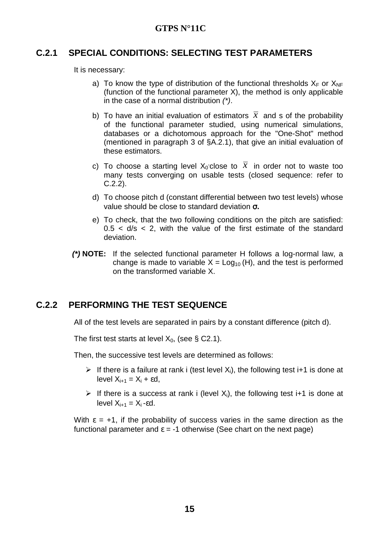#### **C.2.1 SPECIAL CONDITIONS: SELECTING TEST PARAMETERS**

It is necessary:

- a) To know the type of distribution of the functional thresholds  $X_F$  or  $X_{NF}$ (function of the functional parameter X), the method is only applicable in the case of a normal distribution (\*).
- b) To have an initial evaluation of estimators  $\bar{x}$  and s of the probability of the functional parameter studied, using numerical simulations, databases or a dichotomous approach for the "One-Shot" method (mentioned in paragraph 3 of §A.2.1), that give an initial evaluation of these estimators.
- c) To choose a starting level  $X_0$  close to  $\bar{x}$  in order not to waste too many tests converging on usable tests (closed sequence: refer to C.2.2).
- d) To choose pitch d (constant differential between two test levels) whose value should be close to standard deviation σ**.**
- e) To check, that the two following conditions on the pitch are satisfied:  $0.5 < d/s < 2$ , with the value of the first estimate of the standard deviation.
- **(\*) NOTE:** If the selected functional parameter H follows a log-normal law, a change is made to variable  $X = Log_{10}(H)$ , and the test is performed on the transformed variable X.

### **C.2.2 PERFORMING THE TEST SEQUENCE**

All of the test levels are separated in pairs by a constant difference (pitch d).

The first test starts at level  $X_0$ , (see § C2.1).

Then, the successive test levels are determined as follows:

- $\triangleright$  If there is a failure at rank i (test level  $X_i$ ), the following test i+1 is done at level  $X_{i+1} = X_i + \varepsilon d$ .
- If there is a success at rank i (level  $X_i$ ), the following test i+1 is done at level  $X_{i+1} = X_i$ -εd.

With  $\epsilon$  = +1, if the probability of success varies in the same direction as the functional parameter and  $\varepsilon = -1$  otherwise (See chart on the next page)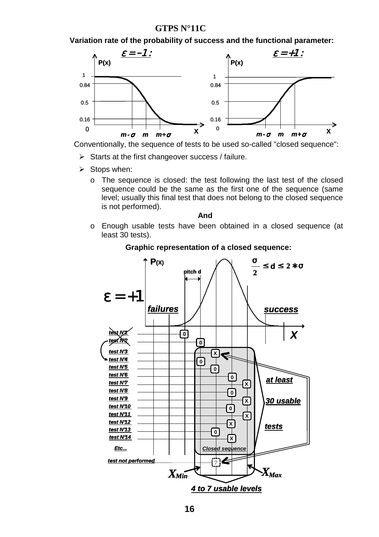**Variation rate of the probability of success and the functional parameter:** 



Conventionally, the sequence of tests to be used so-called "closed sequence":

- > Starts at the first changeover success / failure.
- Stops when:
	- o The sequence is closed: the test following the last test of the closed sequence could be the same as the first one of the sequence (same level; usually this final test that does not belong to the closed sequence is not performed).

**And** 

o Enough usable tests have been obtained in a closed sequence (at least 30 tests).



#### **Graphic representation of a closed sequence:**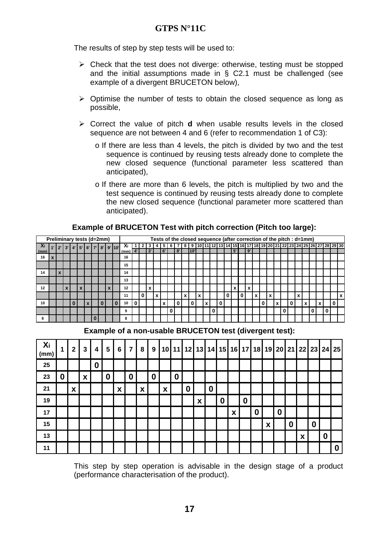The results of step by step tests will be used to:

- > Check that the test does not diverge: otherwise, testing must be stopped and the initial assumptions made in § C2.1 must be challenged (see example of a divergent BRUCETON below),
- > Optimise the number of tests to obtain the closed sequence as long as possible,
- > Correct the value of pitch **d** when usable results levels in the closed sequence are not between 4 and 6 (refer to recommendation 1 of C3):
	- o If there are less than 4 levels, the pitch is divided by two and the test sequence is continued by reusing tests already done to complete the new closed sequence (functional parameter less scattered than anticipated),
	- o If there are more than 6 levels, the pitch is multiplied by two and the test sequence is continued by reusing tests already done to complete the new closed sequence (functional parameter more scattered than anticipated).

|      | Preliminary tests (d=2mm) |             |    |                          |                 |  |           |      |   |          |    |   |    |   |    |   |      |   |   |   | Tests of the closed sequence (after correction of the pitch : d=1mm) |    |   |    |   |   |   |   |   |   |  |  |                                                                      |  |
|------|---------------------------|-------------|----|--------------------------|-----------------|--|-----------|------|---|----------|----|---|----|---|----|---|------|---|---|---|----------------------------------------------------------------------|----|---|----|---|---|---|---|---|---|--|--|----------------------------------------------------------------------|--|
| ΔI   |                           | $2^{\circ}$ | 3' |                          | $4$   5   6   7 |  | 8' 9' 10' | Δi   |   |          |    |   |    | 6 |    |   |      |   |   |   |                                                                      |    |   |    |   |   |   |   |   |   |  |  | 7 8 9 10 11 12 13 14 15 16 17 18 19 20 21 22 23 24 25 26 27 28 29 30 |  |
| (mm) |                           |             |    |                          |                 |  |           | (mm) |   |          | 3' |   | 6' |   | 8' |   | 10'. |   |   |   |                                                                      | 5' |   | 9' |   |   |   |   |   |   |  |  |                                                                      |  |
| 16   |                           |             |    |                          |                 |  |           | 16   |   |          |    |   |    |   |    |   |      |   |   |   |                                                                      |    |   |    |   |   |   |   |   |   |  |  |                                                                      |  |
|      |                           |             |    |                          |                 |  |           | 15   |   |          |    |   |    |   |    |   |      |   |   |   |                                                                      |    |   |    |   |   |   |   |   |   |  |  |                                                                      |  |
| 14   |                           |             |    |                          |                 |  |           | 14   |   |          |    |   |    |   |    |   |      |   |   |   |                                                                      |    |   |    |   |   |   |   |   |   |  |  |                                                                      |  |
|      |                           |             |    |                          |                 |  |           | 13   |   |          |    |   |    |   |    |   |      |   |   |   |                                                                      |    |   |    |   |   |   |   |   |   |  |  |                                                                      |  |
| 12   |                           |             |    | $\overline{\phantom{a}}$ |                 |  |           | 12   |   |          | x  |   |    |   |    |   |      |   |   |   |                                                                      | x  |   | x  |   |   |   |   |   |   |  |  |                                                                      |  |
|      |                           |             |    |                          |                 |  |           | 11   |   | $\bf{0}$ |    | x |    |   |    | x |      | x |   |   |                                                                      |    | 0 |    | x | x |   |   |   | x |  |  |                                                                      |  |
| 10   |                           |             |    |                          |                 |  |           | 10   | 0 |          |    |   | v  |   |    |   | 0    |   | x |   |                                                                      |    |   |    |   |   | v |   | 0 |   |  |  | 0                                                                    |  |
|      |                           |             |    |                          |                 |  |           | 9    |   |          |    |   |    |   |    |   |      |   |   | 0 |                                                                      |    |   |    |   |   |   | 0 |   |   |  |  |                                                                      |  |
| 8    |                           |             |    |                          |                 |  |           | 8    |   |          |    |   |    |   |    |   |      |   |   |   |                                                                      |    |   |    |   |   |   |   |   |   |  |  |                                                                      |  |

#### **Example of BRUCETON Test with pitch correction (Pitch too large):**

**Example of a non-usable BRUCETON test (divergent test):** 

| Xi<br>(mm) | 1                | $\mathbf{2}$ | $\mathbf{3}$       | 4                | 5 | 6 | 7 | 8 | 9                |   |                  |   |                    |          |                  |   |                  | 10 11 12 13 14 15 16 17 18 19 20 21 22 23 24 25 |   |                  |                  |   |          |                  |          |
|------------|------------------|--------------|--------------------|------------------|---|---|---|---|------------------|---|------------------|---|--------------------|----------|------------------|---|------------------|-------------------------------------------------|---|------------------|------------------|---|----------|------------------|----------|
| 25         |                  |              |                    | $\boldsymbol{0}$ |   |   |   |   |                  |   |                  |   |                    |          |                  |   |                  |                                                 |   |                  |                  |   |          |                  |          |
| 23         | $\boldsymbol{0}$ |              | $\pmb{\mathsf{X}}$ |                  | 0 |   | 0 |   | $\boldsymbol{0}$ |   | $\boldsymbol{0}$ |   |                    |          |                  |   |                  |                                                 |   |                  |                  |   |          |                  |          |
| 21         |                  | X            |                    |                  |   | X |   | X |                  | X |                  | 0 |                    | $\bf{0}$ |                  |   |                  |                                                 |   |                  |                  |   |          |                  |          |
| 19         |                  |              |                    |                  |   |   |   |   |                  |   |                  |   | $\pmb{\mathsf{x}}$ |          | $\boldsymbol{0}$ |   | $\boldsymbol{0}$ |                                                 |   |                  |                  |   |          |                  |          |
| 17         |                  |              |                    |                  |   |   |   |   |                  |   |                  |   |                    |          |                  | X |                  | $\boldsymbol{0}$                                |   | $\boldsymbol{0}$ |                  |   |          |                  |          |
| 15         |                  |              |                    |                  |   |   |   |   |                  |   |                  |   |                    |          |                  |   |                  |                                                 | X |                  | $\boldsymbol{0}$ |   | $\bf{0}$ |                  |          |
| 13         |                  |              |                    |                  |   |   |   |   |                  |   |                  |   |                    |          |                  |   |                  |                                                 |   |                  |                  | X |          | $\boldsymbol{0}$ |          |
| 11         |                  |              |                    |                  |   |   |   |   |                  |   |                  |   |                    |          |                  |   |                  |                                                 |   |                  |                  |   |          |                  | $\bf{0}$ |

This step by step operation is advisable in the design stage of a product (performance characterisation of the product).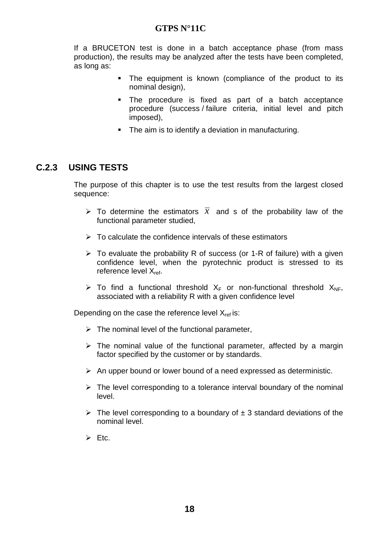If a BRUCETON test is done in a batch acceptance phase (from mass production), the results may be analyzed after the tests have been completed, as long as:

- The equipment is known (compliance of the product to its nominal design),
- The procedure is fixed as part of a batch acceptance procedure (success / failure criteria, initial level and pitch imposed),
- The aim is to identify a deviation in manufacturing.

### **C.2.3 USING TESTS**

The purpose of this chapter is to use the test results from the largest closed sequence:

- $\triangleright$  To determine the estimators  $\overline{x}$  and s of the probability law of the functional parameter studied,
- > To calculate the confidence intervals of these estimators
- > To evaluate the probability R of success (or 1-R of failure) with a given confidence level, when the pyrotechnic product is stressed to its reference level X<sub>ref</sub>.
- $\triangleright$  To find a functional threshold  $X_F$  or non-functional threshold  $X_{NF}$ , associated with a reliability R with a given confidence level

Depending on the case the reference level  $X_{ref}$  is:

- $\triangleright$  The nominal level of the functional parameter,
- > The nominal value of the functional parameter, affected by a margin factor specified by the customer or by standards.
- > An upper bound or lower bound of a need expressed as deterministic.
- > The level corresponding to a tolerance interval boundary of the nominal level.
- $\triangleright$  The level corresponding to a boundary of  $\pm$  3 standard deviations of the nominal level.
- $\triangleright$  Etc.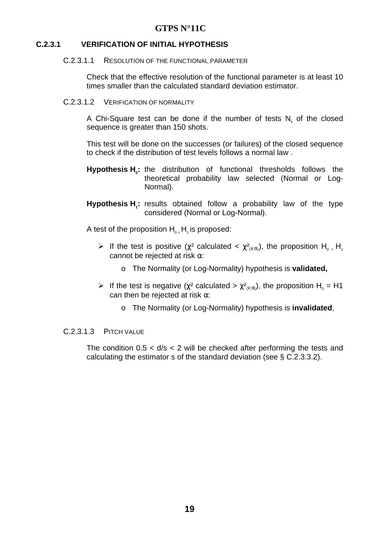#### **C.2.3.1 VERIFICATION OF INITIAL HYPOTHESIS**

#### C.2.3.1.1 RESOLUTION OF THE FUNCTIONAL PARAMETER

Check that the effective resolution of the functional parameter is at least 10 times smaller than the calculated standard deviation estimator.

C.2.3.1.2 VERIFICATION OF NORMALITY

A Chi-Square test can be done if the number of tests  $N_s$  of the closed sequence is greater than 150 shots.

This test will be done on the successes (or failures) of the closed sequence to check if the distribution of test levels follows a normal law .

- **Hypothesis H<sup>0</sup> :** the distribution of functional thresholds follows the theoretical probability law selected (Normal or Log-Normal).
- **Hypothesis H<sup>1</sup> :** results obtained follow a probability law of the type considered (Normal or Log-Normal).

A test of the proposition  $H_0$   $H_1$  is proposed:

- Figure 1 If the test is positive ( $\chi^2$  calculated <  $\chi^2_{(\nu,\alpha)}$ ), the proposition H<sub>0</sub> = H<sub>1</sub> cannot be rejected at risk  $\alpha$ :
	- o The Normality (or Log-Normality) hypothesis is **validated,**
- Figure 1 If the test is negative ( $\chi^2$  calculated  $> \chi^2_{(\nu,\alpha)}$ ), the proposition H<sub>0</sub> = H1 can then be rejected at risk  $\alpha$ :
	- o The Normality (or Log-Normality) hypothesis is **invalidated**,

#### C.2.3.1.3 PITCH VALUE

The condition  $0.5 < d/s < 2$  will be checked after performing the tests and calculating the estimator s of the standard deviation (see § C.2.3.3.2).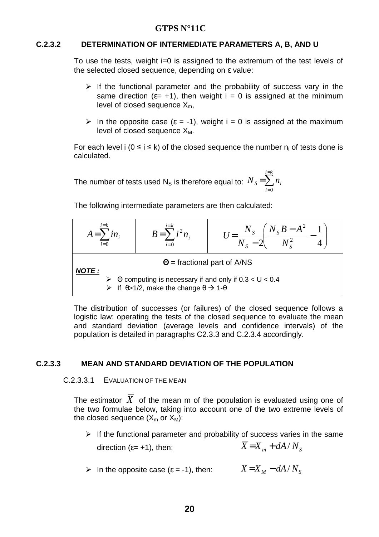#### **C.2.3.2 DETERMINATION OF INTERMEDIATE PARAMETERS A, B, AND U**

To use the tests, weight i=0 is assigned to the extremum of the test levels of the selected closed sequence, depending on ε value:

- > If the functional parameter and the probability of success vary in the same direction ( $\varepsilon$ = +1), then weight  $i = 0$  is assigned at the minimum level of closed sequence  $X_m$ ,
- $\triangleright$  In the opposite case ( $\varepsilon = -1$ ), weight i = 0 is assigned at the maximum level of closed sequence  $X_M$ .

For each level  $i$  ( $0 \le i \le k$ ) of the closed sequence the number  $n_i$  of tests done is calculated.

The number of tests used N<sub>S</sub> is therefore equal to:  ${N}_{\scriptscriptstyle S} \!=\! \sum^{i=k}$ = = *i k i*  $N_s = \sum n_i$ 0

The following intermediate parameters are then calculated:

| $i = k$<br>$A=\sum in$<br>$i=0$ | $i = k$<br>$B=\sum_{i=1}^{n} i^2 n_i$<br>$i=0$                                     | $U = \frac{N_s \left( N_s B - A^2 \right)}{N_s}$<br>$\sqrt{N_s - 2}$ $\sqrt{N_s^2}$ |
|---------------------------------|------------------------------------------------------------------------------------|-------------------------------------------------------------------------------------|
| <b>NOTE:</b>                    |                                                                                    | $\Theta$ = fractional part of A/NS                                                  |
|                                 | $\triangleright$ If $\theta > 1/2$ , make the change $\theta \rightarrow 1-\theta$ | $\triangleright$ $\Theta$ computing is necessary if and only if 0.3 < U < 0.4       |

The distribution of successes (or failures) of the closed sequence follows a logistic law: operating the tests of the closed sequence to evaluate the mean and standard deviation (average levels and confidence intervals) of the population is detailed in paragraphs C2.3.3 and C.2.3.4 accordingly.

#### **C.2.3.3 MEAN AND STANDARD DEVIATION OF THE POPULATION**

#### C.2.3.3.1 EVALUATION OF THE MEAN

The estimator  $\overline{X}$  of the mean m of the population is evaluated using one of the two formulae below, taking into account one of the two extreme levels of the closed sequence  $(X_m \text{ or } X_M)$ :

> If the functional parameter and probability of success varies in the same direction ( $\varepsilon$ = +1), then:  $\overline{X} = X_m + dA/N_s$ 

► In the opposite case (
$$
\varepsilon
$$
 = -1), then:  $\overline{X} = X_M - dA / N_S$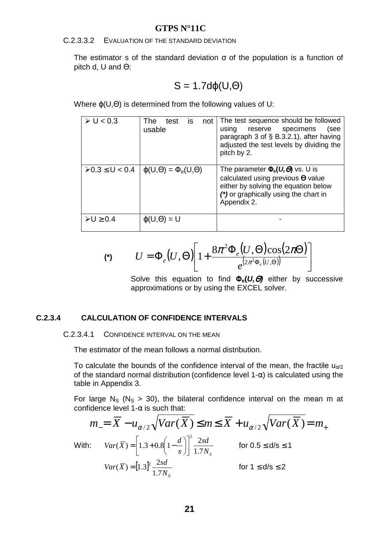C.2.3.3.2 EVALUATION OF THE STANDARD DEVIATION

The estimator s of the standard deviation  $\sigma$  of the population is a function of pitch d, U and Θ:

$$
S = 1.7d\varphi(U,\Theta)
$$

Where ϕ(U,Θ) is determined from the following values of U:

| $\triangleright$ U < 0.3      | <b>is</b><br>test<br>The<br>not<br>usable | The test sequence should be followed<br>reserve specimens<br>using<br>(see<br>paragraph 3 of § B.3.2.1), after having<br>adjusted the test levels by dividing the<br>pitch by 2.       |
|-------------------------------|-------------------------------------------|----------------------------------------------------------------------------------------------------------------------------------------------------------------------------------------|
| $\rho$ 0.3 ≤ U < 0.4          | $\varphi(U,\Theta) = \Phi_e(U,\Theta)$    | The parameter $\Phi_e(U, \Theta)$ vs. U is<br>calculated using previous $\Theta$ value<br>either by solving the equation below<br>(*) or graphically using the chart in<br>Appendix 2. |
| $\triangleright$ U $\geq$ 0.4 | $\varphi(U,\Theta) = U$                   |                                                                                                                                                                                        |

$$
\text{(*)} \qquad U = \Phi_e(U, \Theta) \left[ 1 + \frac{8\pi^2 \Phi_e(U, \Theta) \cos(2\pi\Theta)}{e^{(2\pi^2 \Phi_e(U, \Theta))}} \right]
$$

Solve this equation to find Φ**e(U,**Θ**)** either by successive approximations or by using the EXCEL solver.

#### **C.2.3.4 CALCULATION OF CONFIDENCE INTERVALS**

C.2.3.4.1 CONFIDENCE INTERVAL ON THE MEAN

The estimator of the mean follows a normal distribution.

To calculate the bounds of the confidence interval of the mean, the fractile  $u_{\alpha/2}$ of the standard normal distribution (confidence level 1- $\alpha$ ) is calculated using the table in Appendix 3.

For large  $N_S$  ( $N_S > 30$ ), the bilateral confidence interval on the mean m at confidence level 1- $\alpha$  is such that:

$$
m_{-} = \overline{X} - u_{\alpha/2} \sqrt{Var(\overline{X})} \le m \le \overline{X} + u_{\alpha/2} \sqrt{Var(\overline{X})} = m_{+}
$$
  
\nWith:  $Var(\overline{X}) = \left[1.3 + 0.8\left(1 - \frac{d}{s}\right)\right]^2 \frac{2sd}{1.7N_s}$  for  $0.5 \le d/s \le 1$   
\n $Var(\overline{X}) = \left[1.3\right]^2 \frac{2sd}{1.7N_s}$  for  $1 \le d/s \le 2$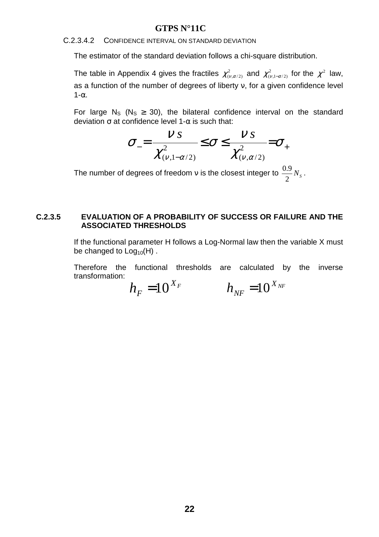#### C.2.3.4.2 CONFIDENCE INTERVAL ON STANDARD DEVIATION

The estimator of the standard deviation follows a chi-square distribution.

The table in Appendix 4 gives the fractiles  $\chi^2_{(\nu,\alpha/2)}$  and  $\chi^2_{(\nu,1-\alpha/2)}$  for the  $\chi^2$  law, as a function of the number of degrees of liberty ν, for a given confidence level  $1-\alpha$ .

For large N<sub>S</sub> (N<sub>S</sub>  $\geq$  30), the bilateral confidence interval on the standard deviation  $\sigma$  at confidence level 1- $\alpha$  is such that:

$$
\sigma_{-} = \frac{\nu s}{\chi^2_{(\nu,1-\alpha/2)}} \leq \sigma \leq \frac{\nu s}{\chi^2_{(\nu,\alpha/2)}} = \sigma_{+}
$$

The number of degrees of freedom  $v$  is the closest integer to  $\frac{0.9}{2}N_s$  $\frac{0.9}{2} N_s$ .

#### **C.2.3.5 EVALUATION OF A PROBABILITY OF SUCCESS OR FAILURE AND THE ASSOCIATED THRESHOLDS**

If the functional parameter H follows a Log-Normal law then the variable X must be changed to  $Log<sub>10</sub>(H)$ .

Therefore the functional thresholds are calculated by the inverse transformation:

*X<sup>F</sup>*  $h_{\rm F} = 10^{\rm X}_{\rm F}$  $h_{\scriptscriptstyle NF}^{} =\hspace{1pt}10^{X_{\scriptscriptstyle NF}}$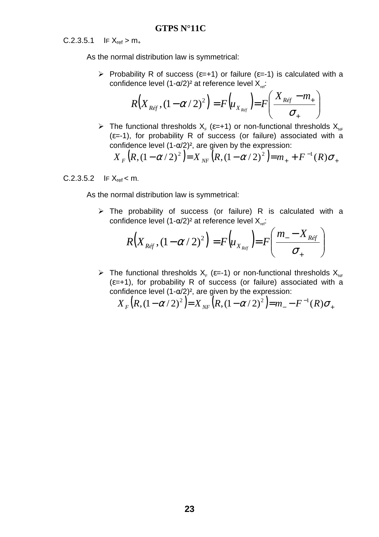$C.2.3.5.1$  IF  $X_{ref} > m_{+}$ 

As the normal distribution law is symmetrical:

Probability R of success ( $\varepsilon$ =+1) or failure ( $\varepsilon$ =-1) is calculated with a confidence level  $(1-\alpha/2)^2$  at reference level  $X_{ref}$ :

$$
R(X_{\text{Re}f}, (1-\alpha/2)^2) = F(u_{X_{\text{Re}f}}) = F\left(\frac{X_{\text{Re}f} - m_+}{\sigma_+}\right)
$$

> The functional thresholds  $X_F$  ( $\varepsilon=+1$ ) or non-functional thresholds  $X_{NF}$  $(\epsilon=1)$ , for probability R of success (or failure) associated with a confidence level  $(1-\alpha/2)^2$ , are given by the expression:

$$
X_F(R, (1 - \alpha / 2)^2) = X_{NF}(R, (1 - \alpha / 2)^2) = m_+ + F^{-1}(R)\sigma_+
$$

#### $C.2.3.5.2$  IF  $X_{ref} < m$ .

As the normal distribution law is symmetrical:

> The probability of success (or failure) R is calculated with a confidence level  $(1-\alpha/2)^2$  at reference level  $X_{ref}$ :

$$
R(X_{\text{Re}f}, (1-\alpha/2)^2) = F(u_{X_{\text{Re}f}}) = F\left(\frac{m_{-} - X_{\text{Re}f}}{\sigma_{+}}\right)
$$

> The functional thresholds  $X_F$  ( $\varepsilon$ =-1) or non-functional thresholds  $X_{NF}$  $(\epsilon=+1)$ , for probability R of success (or failure) associated with a confidence level  $(1-\alpha/2)^2$ , are given by the expression:

$$
X_F(R, (1 - \alpha/2)^2) = X_{NF}(R, (1 - \alpha/2)^2) = m_- - F^{-1}(R)\sigma_+
$$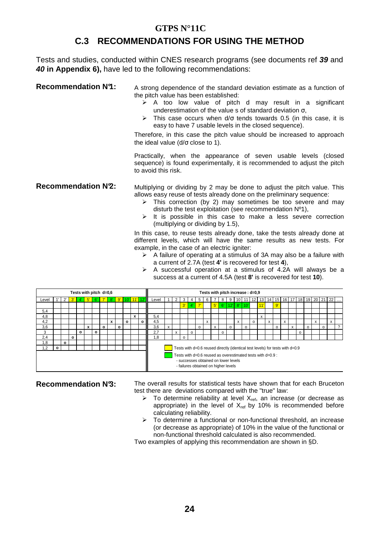### **C.3 RECOMMENDATIONS FOR USING THE METHOD**

Tests and studies, conducted within CNES research programs (see documents ref **39** and **40 in Appendix 6),** have led to the following recommendations:

**Recommendation N°1:** A strong dependence of the standard deviation estimate as a function of the pitch value has been established:

- $\geq$  A too low value of pitch d may result in a significant underestimation of the value s of standard deviation  $\sigma$ ,
- This case occurs when  $d/\sigma$  tends towards 0.5 (in this case, it is easy to have 7 usable levels in the closed sequence).

Therefore, in this case the pitch value should be increased to approach the ideal value (d/σ close to 1).

Practically, when the appearance of seven usable levels (closed sequence) is found experimentally, it is recommended to adjust the pitch to avoid this risk.

**Recommendation N<sup>2</sup>:** Multiplying or dividing by 2 may be done to adjust the pitch value. This allows easy reuse of tests already done on the preliminary sequence:

- > This correction (by 2) may sometimes be too severe and may disturb the test exploitation (see recommendation Nº1),
- $\triangleright$  It is possible in this case to make a less severe correction (multiplying or dividing by 1.5),

In this case, to reuse tests already done, take the tests already done at different levels, which will have the same results as new tests. For example, in the case of an electric igniter:

- $\triangleright$  A failure of operating at a stimulus of 3A may also be a failure with a current of 2.7A (test **4'** is recovered for test **4**),
- > A successful operation at a stimulus of 4.2A will always be a success at a current of 4.5A (test **8'** is recovered for test **10**).

|       |         |         |         |              | Tests with pitch d=0,6 |         |         |   |         |             |           |       |   |   |          |              |   |             |                | Tests with pitch increase : d=0,9                                                                                                           |              |         |         |   |   |         |   |   |          |   |   |         |                                                                |  |
|-------|---------|---------|---------|--------------|------------------------|---------|---------|---|---------|-------------|-----------|-------|---|---|----------|--------------|---|-------------|----------------|---------------------------------------------------------------------------------------------------------------------------------------------|--------------|---------|---------|---|---|---------|---|---|----------|---|---|---------|----------------------------------------------------------------|--|
| Level |         |         | 3'      |              | $\vert 5$              | 6'      |         |   |         | $8'$ 9' 10' | $11'$ 12' | Level |   |   |          | $\mathbf{p}$ |   |             | 8              | 9                                                                                                                                           |              |         |         |   |   |         |   |   |          |   |   |         | 10   11   12   13   14   15   16   17   18   19   20   21   22 |  |
|       |         |         |         |              |                        |         |         |   |         |             |           |       |   |   | $3'$ 4   | $\sqrt{7}$   |   | $5^{\circ}$ | 6 <sup>1</sup> |                                                                                                                                             | 112'1 8'110' |         |         |   |   | 9'      |   |   |          |   |   |         |                                                                |  |
| 5.4   |         |         |         |              |                        |         |         |   |         |             |           |       |   |   |          |              |   |             |                |                                                                                                                                             |              |         |         |   |   |         |   |   |          |   |   |         |                                                                |  |
| 4,8   |         |         |         |              |                        |         |         |   |         |             |           | 5.4   |   |   |          |              |   |             |                |                                                                                                                                             |              |         |         | x |   |         |   |   |          |   |   |         |                                                                |  |
| 4,2   |         |         |         |              |                        |         |         | x |         | o           | $\circ$   | 4.5   |   |   |          |              | x |             |                |                                                                                                                                             | x            |         | $\circ$ |   | X |         | x |   |          |   | x |         | X                                                              |  |
| 3,6   |         |         |         |              | x                      |         | $\circ$ |   | $\circ$ |             |           | 3.6   | X |   |          | $\Omega$     |   | X           |                | $\circ$                                                                                                                                     |              | $\circ$ |         |   |   | $\circ$ |   | x |          | o |   | $\circ$ |                                                                |  |
| 3     |         |         |         | $\mathbf{o}$ |                        | $\circ$ |         |   |         |             |           | 2.7   |   | X | $\Omega$ |              |   |             | $\Omega$       |                                                                                                                                             |              |         |         |   |   |         |   |   | $\Omega$ |   |   |         |                                                                |  |
| 2.4   |         |         | $\circ$ |              |                        |         |         |   |         |             |           | i.8   |   |   |          |              |   |             |                |                                                                                                                                             |              |         |         |   |   |         |   |   |          |   |   |         |                                                                |  |
| 1.8   |         | $\circ$ |         |              |                        |         |         |   |         |             |           |       |   |   |          |              |   |             |                |                                                                                                                                             |              |         |         |   |   |         |   |   |          |   |   |         |                                                                |  |
| 1,2   | $\circ$ |         |         |              |                        |         |         |   |         |             |           |       |   |   |          |              |   |             |                | Tests with d=0.6 reused directly (identical test levels) for tests with d=0.9                                                               |              |         |         |   |   |         |   |   |          |   |   |         |                                                                |  |
|       |         |         |         |              |                        |         |         |   |         |             |           |       |   |   |          |              |   |             |                | Tests with d=0.6 reused as overestimated tests with d=0.9 :<br>- successes obtained on lower levels<br>- failures obtained on higher levels |              |         |         |   |   |         |   |   |          |   |   |         |                                                                |  |

**Recommendation N'3:** The overall results for statistical tests have shown that for each Bruceton test there are deviations compared with the "true" law:

- $\triangleright$  To determine reliability at level  $X_{ref}$ , an increase (or decrease as appropriate) in the level of  $X_{ref}$  by 10% is recommended before calculating reliability.
- > To determine a functional or non-functional threshold, an increase (or decrease as appropriate) of 10% in the value of the functional or non-functional threshold calculated is also recommended.

Two examples of applying this recommendation are shown in §D.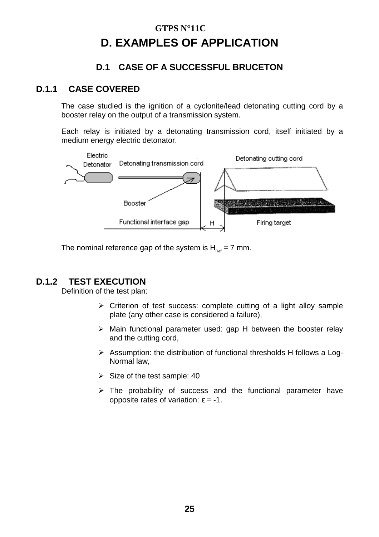### **GTPS N°11C D. EXAMPLES OF APPLICATION**

### **D.1 CASE OF A SUCCESSFUL BRUCETON**

### **D.1.1 CASE COVERED**

The case studied is the ignition of a cyclonite/lead detonating cutting cord by a booster relay on the output of a transmission system.

Each relay is initiated by a detonating transmission cord, itself initiated by a medium energy electric detonator.



The nominal reference gap of the system is  $H_{net} = 7$  mm.

### **D.1.2 TEST EXECUTION**

Definition of the test plan:

- > Criterion of test success: complete cutting of a light alloy sample plate (any other case is considered a failure),
- > Main functional parameter used: gap H between the booster relay and the cutting cord,
- > Assumption: the distribution of functional thresholds H follows a Log-Normal law,
- $\triangleright$  Size of the test sample: 40
- > The probability of success and the functional parameter have opposite rates of variation: ε = -1.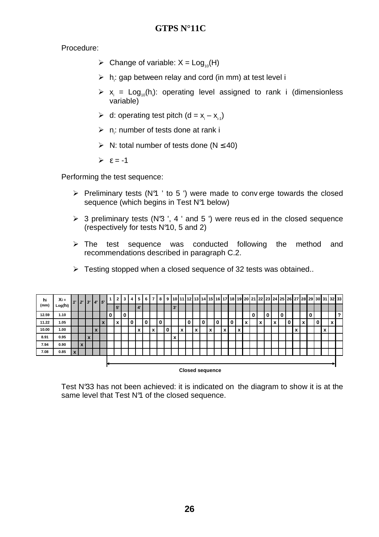Procedure:

- $\triangleright$  Change of variable:  $X = Log_{10}(H)$
- $\triangleright$  h<sub>i</sub>: gap between relay and cord (in mm) at test level i
- $\triangleright$   $x_i = Log_{10}(h_i)$ : operating level assigned to rank i (dimensionless variable)
- A d: operating test pitch  $(d = x_i x_{i-1})$
- $\triangleright$  n<sub>i</sub>: number of tests done at rank i
- $\triangleright$  N: total number of tests done (N  $\leq$  40)
- $\geq \epsilon = -1$

Performing the test sequence:

- > Preliminary tests (N°1 ' to 5 ') were made to conv erge towards the closed sequence (which begins in Test N<sup>9</sup>1 below)
- > 3 preliminary tests (N<sup>3</sup> ', 4 ' and 5 ') were reus ed in the closed sequence (respectively for tests N°10, 5 and 2)
- > The test sequence was conducted following the method and recommendations described in paragraph C.2.
- > Testing stopped when a closed sequence of 32 tests was obtained..

| hi    | $Xi =$  |   |                  |              | $1'$   2'   3'   4'   5'   |                            |   | $\mathbf{2}$ | 3 | 4 I | $5^{\circ}$           | 6        | 7 <sup>1</sup> | 8 | 9 <sup>1</sup> |    |                                          |   |   |                               |   |                              |   |                   |                               |   |                                                       |   |  |                   |                   |   |              |   | 10 11 12 13 14 15 16 17 18 19 20 21 22 23 24 25 26 27 28 29 30 31 32 33 |   |
|-------|---------|---|------------------|--------------|----------------------------|----------------------------|---|--------------|---|-----|-----------------------|----------|----------------|---|----------------|----|------------------------------------------|---|---|-------------------------------|---|------------------------------|---|-------------------|-------------------------------|---|-------------------------------------------------------|---|--|-------------------|-------------------|---|--------------|---|-------------------------------------------------------------------------|---|
| (mm)  | Log(hi) |   |                  |              |                            |                            |   | 5'           |   |     | $\mathbf{4}^{\prime}$ |          |                |   |                | 3' |                                          |   |   |                               |   |                              |   |                   |                               |   |                                                       |   |  |                   |                   |   |              |   |                                                                         |   |
| 12.59 | 1.10    |   |                  |              |                            |                            | 0 |              | 0 |     |                       |          |                |   |                |    |                                          |   |   |                               |   |                              |   |                   |                               | 0 |                                                       | 0 |  |                   |                   | 0 |              |   |                                                                         | ? |
| 11.22 | 1.05    |   |                  |              |                            | $\boldsymbol{\mathcal{L}}$ |   |              |   | 0   |                       | $\Omega$ |                | 0 |                |    |                                          | 0 | 0 |                               | 0 |                              | 0 |                   | $\overline{\phantom{a}}$<br>л |   | $\overline{\phantom{a}}$<br>$\boldsymbol{\mathsf{A}}$ |   |  |                   | $\mathbf{v}$<br>^ |   | $\mathbf{0}$ |   | x                                                                       |   |
| 10.00 | 1.00    |   |                  |              | $\boldsymbol{\mathcal{L}}$ |                            |   |              |   |     | x                     |          | x              |   | 0              |    | $\overline{\phantom{a}}$<br>$\mathbf{v}$ |   |   | $\overline{\phantom{a}}$<br>́ |   | $\mathbf{v}$<br>$\mathbf{A}$ |   | $\checkmark$<br>ᄉ |                               |   |                                                       |   |  | $\checkmark$<br>́ |                   |   |              | x |                                                                         |   |
| 8.91  | 0.95    |   |                  | $\mathbf{v}$ |                            |                            |   |              |   |     |                       |          |                |   |                | x  |                                          |   |   |                               |   |                              |   |                   |                               |   |                                                       |   |  |                   |                   |   |              |   |                                                                         |   |
| 7.94  | 0.90    |   | $\boldsymbol{x}$ |              |                            |                            |   |              |   |     |                       |          |                |   |                |    |                                          |   |   |                               |   |                              |   |                   |                               |   |                                                       |   |  |                   |                   |   |              |   |                                                                         |   |
| 7.08  | 0.85    | X |                  |              |                            |                            |   |              |   |     |                       |          |                |   |                |    |                                          |   |   |                               |   |                              |   |                   |                               |   |                                                       |   |  |                   |                   |   |              |   |                                                                         |   |
|       |         |   |                  |              |                            |                            |   |              |   |     |                       |          |                |   |                |    |                                          |   |   |                               |   |                              |   |                   |                               |   |                                                       |   |  |                   |                   |   |              |   |                                                                         |   |
|       |         |   |                  |              |                            |                            |   |              |   |     |                       |          |                |   |                |    |                                          |   |   |                               |   |                              |   |                   |                               |   |                                                       |   |  |                   |                   |   |              |   |                                                                         |   |

**Closed sequence**

Test N°33 has not been achieved: it is indicated on the diagram to show it is at the same level that Test N<sup>9</sup> of the closed sequence.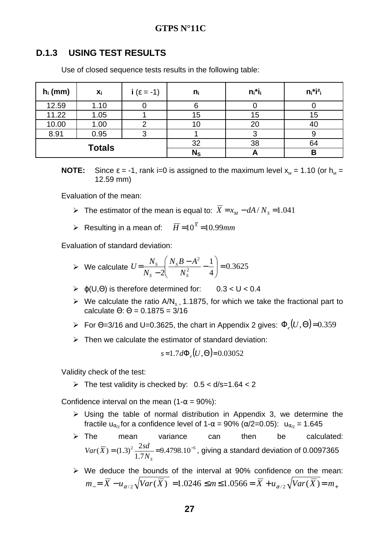#### **D.1.3 USING TEST RESULTS**

Use of closed sequence tests results in the following table:

| $h_i$ (mm) | X <sub>i</sub> | i ( $\varepsilon = -1$ ) | $n_i$   | $n_i$ *i <sub>i</sub> | $n_i$ *i <sup>2</sup> i |
|------------|----------------|--------------------------|---------|-----------------------|-------------------------|
| 12.59      | 1.10           |                          |         |                       |                         |
| 11.22      | 1.05           |                          | 15      | 15                    | 15                      |
| 10.00      | 1.00           |                          |         | 20                    | 40                      |
| 8.91       | 0.95           |                          |         |                       |                         |
|            | <b>Totals</b>  |                          | 32      | 38                    | 64                      |
|            |                |                          | $N_{S}$ |                       | В                       |

**NOTE:** Since  $\varepsilon = -1$ , rank i=0 is assigned to the maximum level  $x_{M} = 1.10$  (or  $h_{M} =$ 12.59 mm)

Evaluation of the mean:

- > The estimator of the mean is equal to:  $\overline{X} = x_M dA/N_s = 1.041$
- Resulting in a mean of:  $\overline{H}$  =10<sup>x</sup> =10.99mm

Evaluation of standard deviation:

► We calculate 
$$
U = \frac{N_s}{N_s - 2} \left( \frac{N_s B - A^2}{N_s^2} - \frac{1}{4} \right) = 0.3625
$$

- $\triangleright$  φ(U,Θ) is therefore determined for: 0.3 < U < 0.4
- $\triangleright$  We calculate the ratio A/N<sub>s</sub> = 1.1875, for which we take the fractional part to calculate  $\Theta$ :  $\Theta$  = 0.1875 = 3/16
- $\triangleright$  For Θ=3/16 and U=0.3625, the chart in Appendix 2 gives: Φ<sub>ε</sub> $(U, Θ)$ =0.359
- > Then we calculate the estimator of standard deviation:

$$
s=1.7d\Phi_e(U,\Theta)=0.03052
$$

Validity check of the test:

The test validity is checked by:  $0.5 < d/s = 1.64 < 2$ 

Confidence interval on the mean (1- $\alpha$  = 90%):

- > Using the table of normal distribution in Appendix 3, we determine the fractile u<sub>α<sub>ρ</sub> for a confidence level of 1- $\alpha$  = 90% ( $\alpha/2$ =0.05): u<sub>α<sub>ρ</sub></sub> = 1.645</sub>
- $\triangleright$  The mean variance can then be calculated:  $\frac{2}{1} \frac{2su}{5M}$  = 9.4798.10<sup>-5</sup> 7.1  $(\overline{X}) = (1.3)^2 \frac{2sd}{4.7 \text{ N}} = 9.4798.10^{-1}$ *NS*  $Var(\overline{X}) = (1.3)^2 \frac{2sd}{1.5 \times 10^{-5}} = 9.4798.10^{-5}$ , giving a standard deviation of 0.0097365
- > We deduce the bounds of the interval at 90% confidence on the mean:  $m_{-} = X - u_{\alpha/2} \sqrt{Var(X)} = 1.0246 \le m \le 1.0566 = X + u_{\alpha/2} \sqrt{Var(X)} = m_{+}$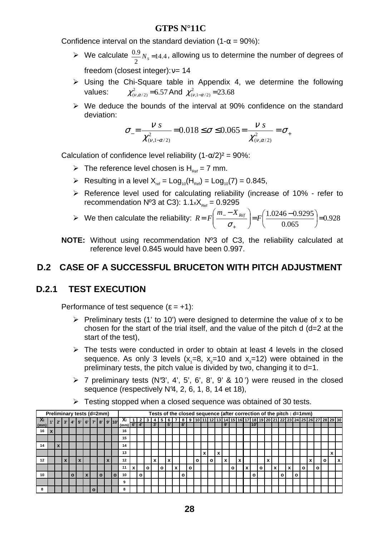Confidence interval on the standard deviation (1- $\alpha$  = 90%):

- $\triangleright$  We calculate  $\frac{0.9}{2}N_s$ =14.4 2  $\frac{0.9}{2}$ N<sub>*S*</sub> =14.4</sub>, allowing us to determine the number of degrees of freedom (closest integer): ν= 14
- > Using the Chi-Square table in Appendix 4, we determine the following values:  $\chi^2_{(\nu,\alpha/2)}$ =6.57 And  $\chi^2_{(\nu,1-\alpha/2)}$ =23.68
- > We deduce the bounds of the interval at 90% confidence on the standard deviation:

$$
\sigma_{-} = \frac{v}{\chi^2_{(v,1-\alpha/2)}} = 0.018 \le \sigma \le 0.065 = \frac{v}{\chi^2_{(v,\alpha/2)}} = \sigma_{+}
$$

Calculation of confidence level reliability  $(1-\alpha/2)^2 = 90\%$ :

- $\triangleright$  The reference level chosen is H<sub>Ref</sub> = 7 mm.
- Resulting in a level  $X_{ref} = Log_{10}(H_{Ref}) = Log_{10}(7) = 0.845$ ,
- > Reference level used for calculating reliability (increase of 10% refer to recommendation  $N^03$  at C3):  $1.1 \times X_{R_{eff}} = 0.9295$
- $\triangleright$  We then calculate the reliability:  $R = F\left[\frac{m_{-} A_{R\acute{e}f}}{m_{-} A_{R\acute{e}f}}\right] = F\left[\frac{1.0246 0.9293}{0.0055}\right] = 0.928$ 0.065  $\frac{1.0246 - 0.9295}{0.055}$ = J  $\left(\frac{1.0246 - 0.9295}{0.055}\right)$  $\setminus$  $(1.0246 \vert$ = J )  $\overline{\phantom{a}}$ L  $\left( m_{-}-\right)$ = +  $\frac{1}{f}$   $\frac{f^2}{f^2}$   $\frac{f^2}{f^2}$   $\frac{f^2}{f^2}$  $m - X$  $R = F \Big| \frac{m_{-} + x_{\text{Ref}}}{\sqrt{m_{-} + x_{\text{Ref}}}}$ σ
- **NOTE:** Without using recommendation Nº3 of C3, the reliability calculated at reference level 0.845 would have been 0.997.

### **D.2 CASE OF A SUCCESSFUL BRUCETON WITH PITCH ADJUSTMENT**

### **D.2.1 TEST EXECUTION**

Performance of test sequence  $(\epsilon = +1)$ :

- > Preliminary tests (1' to 10') were designed to determine the value of x to be chosen for the start of the trial itself, and the value of the pitch d (d=2 at the start of the test),
- > The tests were conducted in order to obtain at least 4 levels in the closed sequence. As only 3 levels  $(x_1=8, x_2=10)$  and  $(x_2=12)$  were obtained in the preliminary tests, the pitch value is divided by two, changing it to d=1.
- $\triangleright$  7 preliminary tests (N°3', 4', 5', 6', 8', 9' & 10') were reused in the closed sequence (respectively N<sup>2</sup>, 2, 6, 1, 8, 14 et 18),

|           | Preliminary tests (d=2mm) |              |              |              |                     |    |   |                   |                     |              |   |    |         |             |   |           |    |    |              |   |              | Tests of the closed sequence (after correction of the pitch : d=1mm) |              |   |      |   |   |         |   |              |   |   |              |   |                                                                                    |           |
|-----------|---------------------------|--------------|--------------|--------------|---------------------|----|---|-------------------|---------------------|--------------|---|----|---------|-------------|---|-----------|----|----|--------------|---|--------------|----------------------------------------------------------------------|--------------|---|------|---|---|---------|---|--------------|---|---|--------------|---|------------------------------------------------------------------------------------|-----------|
| <b>Xi</b> |                           | $2^{\prime}$ |              |              | $3'$   4'   5'   6' | 7' |   | $8'$   $9'$   10' | ΔI                  |              |   |    |         | 6           |   |           | 89 |    |              |   |              |                                                                      |              |   |      |   |   |         |   |              |   |   |              |   | 10  11  12  13  14  15  16  17  18  19  20  21  22  23  24  25  26  27  28  29  30 |           |
| (mm)      |                           |              |              |              |                     |    |   |                   | $\lceil$ (mm) 6' 4' |              |   | 3' |         | $5^{\circ}$ |   | <b>8'</b> |    |    |              |   | 9'           |                                                                      |              |   | 110' |   |   |         |   |              |   |   |              |   |                                                                                    |           |
| 16        |                           |              |              |              |                     |    |   |                   | 16                  |              |   |    |         |             |   |           |    |    |              |   |              |                                                                      |              |   |      |   |   |         |   |              |   |   |              |   |                                                                                    |           |
|           |                           |              |              |              |                     |    |   |                   | 15                  |              |   |    |         |             |   |           |    |    |              |   |              |                                                                      |              |   |      |   |   |         |   |              |   |   |              |   |                                                                                    |           |
| 14        |                           |              |              |              |                     |    |   |                   | 14                  |              |   |    |         |             |   |           |    |    |              |   |              |                                                                      |              |   |      |   |   |         |   |              |   |   |              |   |                                                                                    |           |
|           |                           |              |              |              |                     |    |   |                   | 13                  |              |   |    |         |             |   |           |    |    |              | x |              |                                                                      |              |   |      |   |   |         |   |              |   |   |              |   | $\ddot{\phantom{a}}$                                                               |           |
| 12        |                           |              | $\mathbf{x}$ |              | X                   |    |   |                   | 12                  |              |   | X  |         | x           |   |           |    | o۱ | $\mathbf{o}$ |   | $\mathbf{x}$ |                                                                      | $\mathbf{x}$ |   |      |   | x |         |   |              |   | X |              | o |                                                                                    | $\lambda$ |
|           |                           |              |              |              |                     |    |   |                   | 11                  |              | o |    | $\circ$ |             | x |           | o  |    |              |   |              | $\mathbf o$                                                          |              | x |      | o |   |         | x |              | O |   | $\mathbf{o}$ |   |                                                                                    |           |
| 10        |                           |              |              | $\mathbf{o}$ |                     |    | Ο | O                 | 10                  | $\mathbf{o}$ |   |    |         |             |   | $\circ$   |    |    |              |   |              |                                                                      |              |   | o    |   |   | $\circ$ |   | $\mathbf{o}$ |   |   |              |   |                                                                                    |           |
|           |                           |              |              |              |                     |    |   |                   | 9                   |              |   |    |         |             |   |           |    |    |              |   |              |                                                                      |              |   |      |   |   |         |   |              |   |   |              |   |                                                                                    |           |
|           |                           |              |              |              |                     |    |   |                   |                     |              |   |    |         |             |   |           |    |    |              |   |              |                                                                      |              |   |      |   |   |         |   |              |   |   |              |   |                                                                                    |           |

> Testing stopped when a closed sequence was obtained of 30 tests.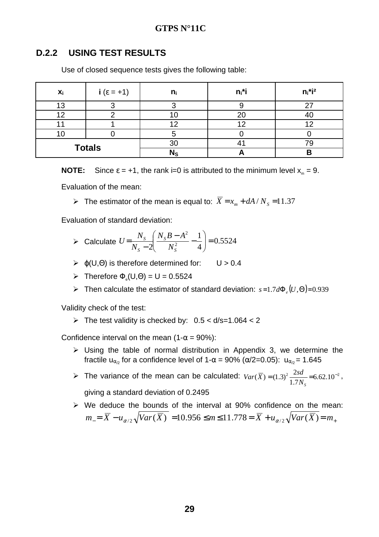#### **D.2.2 USING TEST RESULTS**

Use of closed sequence tests gives the following table:

| $x_i$ | $i(\epsilon = +1)$ | n              | $n_i$ *i | $n_i$ *i <sup>2</sup> |
|-------|--------------------|----------------|----------|-----------------------|
| 13    |                    |                |          |                       |
| 12    |                    |                | 20       | 4U                    |
|       |                    |                | 12       |                       |
|       |                    |                |          |                       |
|       | <b>Totals</b>      | 3 <sub>0</sub> |          |                       |
|       |                    | $N_{\rm S}$    |          | В                     |

**NOTE:** Since  $\varepsilon = +1$ , the rank i=0 is attributed to the minimum level  $x_m = 9$ .

Evaluation of the mean:

Figure 11.37 The estimator of the mean is equal to:  $\overline{X} = x_m + dA/N_s = 11.37$ 

Evaluation of standard deviation:

- Calculate  $U = \frac{N_S}{N_S} \frac{N_S D A}{N_S^2} \frac{1}{4} = 0.5524$ 4 1 2  $N_S^2$ 2  $\vert$  = J  $\backslash$  $\vert$  $\setminus$ ſ  $\frac{-A^2}{2}$  – − = *S S S S N*  $N_{\rm s}B - A$ *N*  $U=\frac{N}{N}$
- $\triangleright$  φ(U,Θ) is therefore determined for: U > 0.4
- $\triangleright$  Therefore  $\Phi_e(U,\Theta) = U = 0.5524$
- Figure Then calculate the estimator of standard deviation:  $s=1.7d\Phi_e(U,\Theta)=0.939$

Validity check of the test:

The test validity is checked by:  $0.5 < d/s = 1.064 < 2$ 

Confidence interval on the mean (1- $\alpha$  = 90%):

- > Using the table of normal distribution in Appendix 3, we determine the fractile u<sub>α/2</sub> for a confidence level of 1- $\alpha$  = 90% ( $\alpha/2$ =0.05): u<sub>α/2</sub> = 1.645
- Fine variance of the mean can be calculated:  $Var(\bar{X}) = (1.3)^2 \frac{2sd}{4.5 \times 10^{-2}} = 6.62.10^{-2}$ 7.1  $(\overline{X}) = (1.3)^2 \frac{2sd}{1.5 \text{ N}} = 6.62.10^{-1}$ *NS*  $Var(\overline{X}) = (1.3)^2 \frac{2sd}{1.5} = 6.62.10^{-2}$ ,

giving a standard deviation of 0.2495

> We deduce the bounds of the interval at 90% confidence on the mean:  $m_{-} = X - u_{\alpha/2} \sqrt{Var(X)} = 10.956 \le m \le 11.778 = X + u_{\alpha/2} \sqrt{Var(X)} = m_{+}$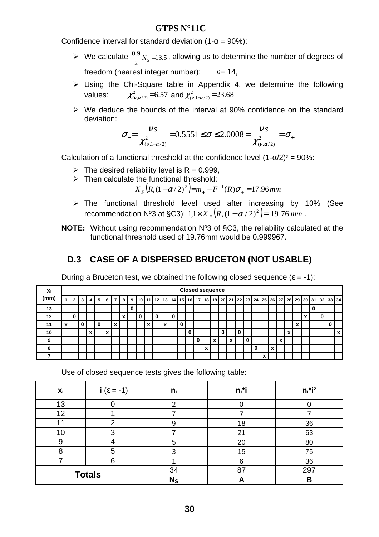Confidence interval for standard deviation (1- $\alpha$  = 90%):

- $\triangleright$  We calculate  $\frac{0.9}{0.2}N_s$  = 13.5 2  $\frac{0.9}{2}$ N<sub>*s* =13.5</sub>, allowing us to determine the number of degrees of freedom (nearest integer number):  $v=14$ ,
- > Using the Chi-Square table in Appendix 4, we determine the following values:  $\chi^2_{(\nu,\alpha/2)}$ =6.57 and  $\chi^2_{(\nu,1-\alpha/2)}$ =23.68
- > We deduce the bounds of the interval at 90% confidence on the standard deviation:

$$
\sigma_{-} = \frac{v_s}{\chi^2_{(v,1-\alpha/2)}} = 0.5551 \le \sigma \le 2.0008 = \frac{v_s}{\chi^2_{(v,\alpha/2)}} = \sigma_{+}
$$

Calculation of a functional threshold at the confidence level  $(1-\alpha/2)^2 = 90\%$ :

- The desired reliability level is  $R = 0.999$ ,
- $\triangleright$  Then calculate the functional threshold:

 $X_F(R, (1 - \alpha/2)^2) = m_+ + F^{-1}(R)\sigma_+ = 17.96 \, mm$ 

- > The functional threshold level used after increasing by 10% (See recommendation Nº3 at §C3):  $1, 1 \times X_F (R, (1 - \alpha / 2)^2) = 19.76 \text{ mm}$ .
- **NOTE:** Without using recommendation Nº3 of §C3, the reliability calculated at the functional threshold used of 19.76mm would be 0.999967.

### **D.3 CASE OF A DISPERSED BRUCETON (NOT USABLE)**

During a Bruceton test, we obtained the following closed sequence  $(\epsilon = -1)$ :

| Xi   |              |                |   |   |   |   |                |   |                |   |                           |   |                           |   |   |   |   |   |   | <b>Closed sequence</b> |              |   |                                                  |                                                  |                                          |                               |                                      |              |   |   |                                                                            |                           |
|------|--------------|----------------|---|---|---|---|----------------|---|----------------|---|---------------------------|---|---------------------------|---|---|---|---|---|---|------------------------|--------------|---|--------------------------------------------------|--------------------------------------------------|------------------------------------------|-------------------------------|--------------------------------------|--------------|---|---|----------------------------------------------------------------------------|---------------------------|
| (mm) |              | 2 <sup>1</sup> | 3 | 4 | 5 | 6 | $\overline{7}$ | 8 | 9 <sup>1</sup> |   |                           |   |                           |   |   |   |   |   |   |                        |              |   |                                                  |                                                  |                                          |                               |                                      |              |   |   | 10 11 12 13 14 15 16 17 18 19 20 21 22 23 24 25 26 27 28 29 30 31 32 33 34 |                           |
| 13   |              |                |   |   |   |   |                |   | 0              |   |                           |   |                           |   |   |   |   |   |   |                        |              |   |                                                  |                                                  |                                          |                               |                                      |              | 0 |   |                                                                            |                           |
| 12   |              | 0              |   |   |   |   |                | X |                | 0 |                           | 0 |                           | 0 |   |   |   |   |   |                        |              |   |                                                  |                                                  |                                          |                               |                                      | $\mathbf{v}$ |   | 0 |                                                                            |                           |
| 11   | $\mathbf{x}$ |                | 0 |   | 0 |   | X              |   |                |   | $\boldsymbol{\mathsf{x}}$ |   | $\boldsymbol{\mathsf{x}}$ |   | 0 |   |   |   |   |                        |              |   |                                                  |                                                  |                                          |                               | $\mathbf{v}$<br>$\ddot{\phantom{0}}$ |              |   |   | 0                                                                          |                           |
| 10   |              |                |   | x |   | X |                |   |                |   |                           |   |                           |   |   | 0 |   |   |   | 0                      |              |   |                                                  |                                                  |                                          | $\overline{\phantom{a}}$<br>́ |                                      |              |   |   |                                                                            | $\boldsymbol{\mathsf{x}}$ |
| 9    |              |                |   |   |   |   |                |   |                |   |                           |   |                           |   |   |   | 0 |   | X |                        | $\mathbf{x}$ | 0 |                                                  |                                                  | $\mathbf{v}$<br>$\overline{\phantom{a}}$ |                               |                                      |              |   |   |                                                                            |                           |
| 8    |              |                |   |   |   |   |                |   |                |   |                           |   |                           |   |   |   |   | X |   |                        |              |   |                                                  | $\overline{\phantom{a}}$<br>$\ddot{\phantom{0}}$ |                                          |                               |                                      |              |   |   |                                                                            |                           |
|      |              |                |   |   |   |   |                |   |                |   |                           |   |                           |   |   |   |   |   |   |                        |              |   | $\overline{\phantom{a}}$<br>$\ddot{\phantom{0}}$ |                                                  |                                          |                               |                                      |              |   |   |                                                                            |                           |

Use of closed sequence tests gives the following table:

| $x_i$           | $i(\epsilon = -1)$ | $n_i$   | $n_i$ *i | $n_i$ *i <sup>2</sup> |
|-----------------|--------------------|---------|----------|-----------------------|
| 13              |                    |         |          |                       |
| 12              |                    |         |          |                       |
|                 | ◠                  |         | 18       | 36                    |
| 10 <sup>°</sup> | ◠                  |         | 21       | 63                    |
| 9               |                    | 5       | 20       | 80                    |
| 8               | 5                  |         | 15       | 75                    |
|                 | հ                  |         | 6        | 36                    |
|                 | <b>Totals</b>      | 34      | 87       | 297                   |
|                 |                    | $N_{S}$ |          | в                     |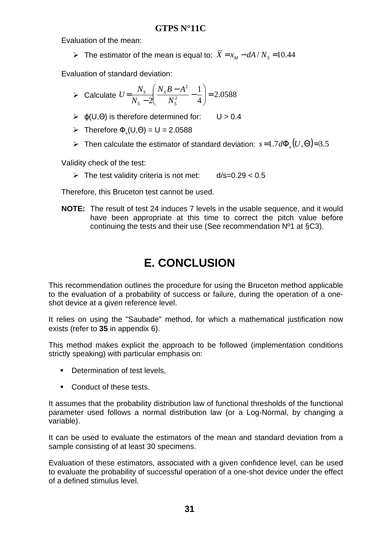Evaluation of the mean:

> The estimator of the mean is equal to:  $\overline{X} = x_M - dA/N_s = 10.44$ 

Evaluation of standard deviation:

► Calculate 
$$
U = \frac{N_s}{N_s - 2} \left( \frac{N_s B - A^2}{N_s^2} - \frac{1}{4} \right) = 2.0588
$$

- $\rho(\cup,\Theta)$  is therefore determined for: U > 0.4
- $\triangleright$  Therefore  $\Phi_e(U,\Theta) = U = 2.0588$
- $\triangleright$  Then calculate the estimator of standard deviation: *s*=1.7*d*Φ<sub>*ε*</sub>(*U*,Θ)=3.5

Validity check of the test:

> The test validity criteria is not met: d/s=0.29 < 0.5

Therefore, this Bruceton test cannot be used.

**NOTE:** The result of test 24 induces 7 levels in the usable sequence, and it would have been appropriate at this time to correct the pitch value before continuing the tests and their use (See recommendation Nº1 at §C3).

## **E. CONCLUSION**

This recommendation outlines the procedure for using the Bruceton method applicable to the evaluation of a probability of success or failure, during the operation of a oneshot device at a given reference level.

It relies on using the "Saubade" method, for which a mathematical justification now exists (refer to **35** in appendix 6).

This method makes explicit the approach to be followed (implementation conditions strictly speaking) with particular emphasis on:

- Determination of test levels,
- Conduct of these tests.

It assumes that the probability distribution law of functional thresholds of the functional parameter used follows a normal distribution law (or a Log-Normal, by changing a variable).

It can be used to evaluate the estimators of the mean and standard deviation from a sample consisting of at least 30 specimens.

Evaluation of these estimators, associated with a given confidence level, can be used to evaluate the probability of successful operation of a one-shot device under the effect of a defined stimulus level.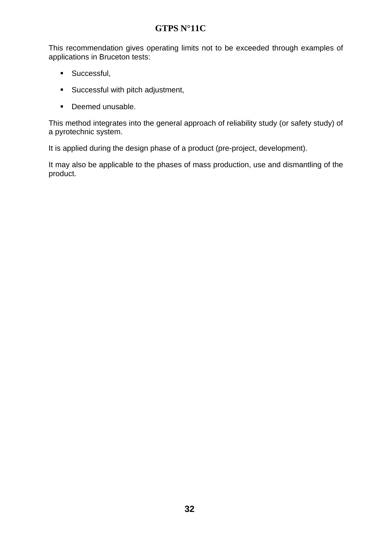This recommendation gives operating limits not to be exceeded through examples of applications in Bruceton tests:

- **Successful,**
- Successful with pitch adjustment,
- **•** Deemed unusable.

This method integrates into the general approach of reliability study (or safety study) of a pyrotechnic system.

It is applied during the design phase of a product (pre-project, development).

It may also be applicable to the phases of mass production, use and dismantling of the product.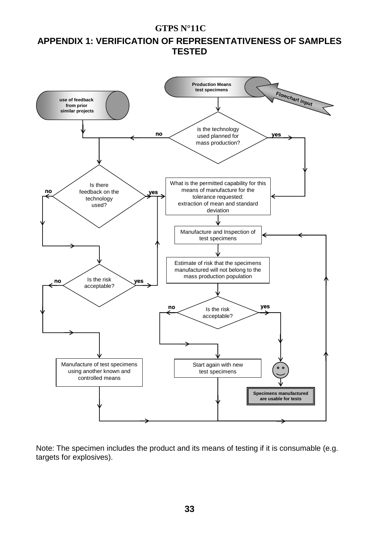### **APPENDIX 1: VERIFICATION OF REPRESENTATIVENESS OF SAMPLES TESTED**



Note: The specimen includes the product and its means of testing if it is consumable (e.g. targets for explosives).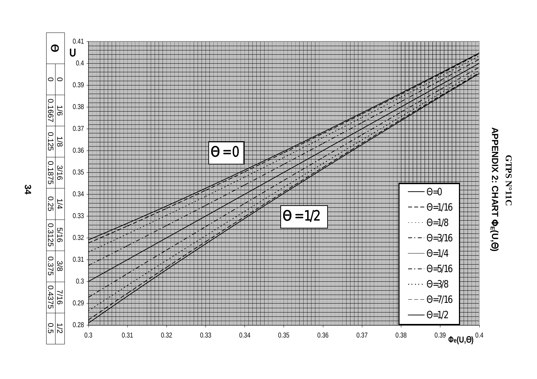

**GTPSN<sub>°11</sub>C**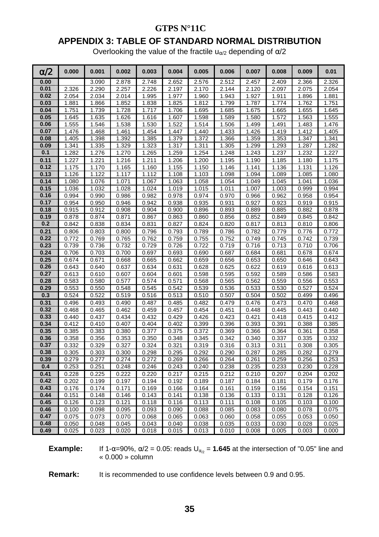### **APPENDIX 3: TABLE OF STANDARD NORMAL DISTRIBUTION**

Overlooking the value of the fractile  $u_{\alpha/2}$  depending of  $\alpha/2$ 

| $\alpha/2$ | 0.000 | 0.001 | 0.002 | 0.003 | 0.004 | 0.005 | 0.006 | 0.007 | 0.008 | 0.009 | 0.01  |
|------------|-------|-------|-------|-------|-------|-------|-------|-------|-------|-------|-------|
| 0.00       |       | 3.090 | 2.878 | 2.748 | 2.652 | 2.576 | 2.512 | 2.457 | 2.409 | 2.366 | 2.326 |
| 0.01       | 2.326 | 2.290 | 2.257 | 2.226 | 2.197 | 2.170 | 2.144 | 2.120 | 2.097 | 2.075 | 2.054 |
| 0.02       | 2.054 | 2.034 | 2.014 | 1.995 | 1.977 | 1.960 | 1.943 | 1.927 | 1.911 | 1.896 | 1.881 |
| 0.03       | 1.881 | 1.866 | 1.852 | 1.838 | 1.825 | 1.812 | 1.799 | 1.787 | 1.774 | 1.762 | 1.751 |
| 0.04       | 1.751 | 1.739 | 1.728 | 1.717 | 1.706 | 1.695 | 1.685 | 1.675 | 1.665 | 1.655 | 1.645 |
| 0.05       | 1.645 | 1.635 | 1.626 | 1.616 | 1.607 | 1.598 | 1.589 | 1.580 | 1.572 | 1.563 | 1.555 |
| 0.06       | 1.555 | 1.546 | 1.538 | 1.530 | 1.522 | 1.514 | 1.506 | 1.499 | 1.491 | 1.483 | 1.476 |
| 0.07       | 1.476 | 1.468 | 1.461 | 1.454 | 1.447 | 1.440 | 1.433 | 1.426 | 1.419 | 1.412 | 1.405 |
| 0.08       | 1.405 | 1.398 | 1.392 | 1.385 | 1.379 | 1.372 | 1.366 | 1.359 | 1.353 | 1.347 | 1.341 |
| 0.09       | 1.341 | 1.335 | 1.329 | 1.323 | 1.317 | 1.311 | 1.305 | 1.299 | 1.293 | 1.287 | 1.282 |
| 0.1        | 1.282 | 1.276 | 1.270 | 1.265 | 1.259 | 1.254 | 1.248 | 1.243 | 1.237 | 1.232 | 1.227 |
| 0.11       | 1.227 | 1.221 | 1.216 | 1.211 | 1.206 | 1.200 | 1.195 | 1.190 | 1.185 | 1.180 | 1.175 |
| 0.12       | 1.175 | 1.170 | 1.165 | 1.160 | 1.155 | 1.150 | 1.146 | 1.141 | 1.136 | 1.131 | 1.126 |
| 0.13       | 1.126 | 1.122 | 1.117 | 1.112 | 1.108 | 1.103 | 1.098 | 1.094 | 1.089 | 1.085 | 1.080 |
| 0.14       | 1.080 | 1.076 | 1.071 | 1.067 | 1.063 | 1.058 | 1.054 | 1.049 | 1.045 | 1.041 | 1.036 |
| 0.15       | 1.036 | 1.032 | 1.028 | 1.024 | 1.019 | 1.015 | 1.011 | 1.007 | 1.003 | 0.999 | 0.994 |
| 0.16       | 0.994 | 0.990 | 0.986 | 0.982 | 0.978 | 0.974 | 0.970 | 0.966 | 0.962 | 0.958 | 0.954 |
| 0.17       | 0.954 | 0.950 | 0.946 | 0.942 | 0.938 | 0.935 | 0.931 | 0.927 | 0.923 | 0.919 | 0.915 |
| 0.18       | 0.915 | 0.912 | 0.908 | 0.904 | 0.900 | 0.896 | 0.893 | 0.889 | 0.885 | 0.882 | 0.878 |
| 0.19       | 0.878 | 0.874 | 0.871 | 0.867 | 0.863 | 0.860 | 0.856 | 0.852 | 0.849 | 0.845 | 0.842 |
| 0.2        | 0.842 | 0.838 | 0.834 | 0.831 | 0.827 | 0.824 | 0.820 | 0.817 | 0.813 | 0.810 | 0.806 |
| 0.21       | 0.806 | 0.803 | 0.800 | 0.796 | 0.793 | 0.789 | 0.786 | 0.782 | 0.779 | 0.776 | 0.772 |
| 0.22       | 0.772 | 0.769 | 0.765 | 0.762 | 0.759 | 0.755 | 0.752 | 0.749 | 0.745 | 0.742 | 0.739 |
| 0.23       | 0.739 | 0.736 | 0.732 | 0.729 | 0.726 | 0.722 | 0.719 | 0.716 | 0.713 | 0.710 | 0.706 |
| 0.24       | 0.706 | 0.703 | 0.700 | 0.697 | 0.693 | 0.690 | 0.687 | 0.684 | 0.681 | 0.678 | 0.674 |
| 0.25       | 0.674 | 0.671 | 0.668 | 0.665 | 0.662 | 0.659 | 0.656 | 0.653 | 0.650 | 0.646 | 0.643 |
| 0.26       | 0.643 | 0.640 | 0.637 | 0.634 | 0.631 | 0.628 | 0.625 | 0.622 | 0.619 | 0.616 | 0.613 |
| 0.27       | 0.613 | 0.610 | 0.607 | 0.604 | 0.601 | 0.598 | 0.595 | 0.592 | 0.589 | 0.586 | 0.583 |
| 0.28       | 0.583 | 0.580 | 0.577 | 0.574 | 0.571 | 0.568 | 0.565 | 0.562 | 0.559 | 0.556 | 0.553 |
| 0.29       | 0.553 | 0.550 | 0.548 | 0.545 | 0.542 | 0.539 | 0.536 | 0.533 | 0.530 | 0.527 | 0.524 |
| 0.3        | 0.524 | 0.522 | 0.519 | 0.516 | 0.513 | 0.510 | 0.507 | 0.504 | 0.502 | 0.499 | 0.496 |
| 0.31       | 0.496 | 0.493 | 0.490 | 0.487 | 0.485 | 0.482 | 0.479 | 0.476 | 0.473 | 0.470 | 0.468 |
| 0.32       | 0.468 | 0.465 | 0.462 | 0.459 | 0.457 | 0.454 | 0.451 | 0.448 | 0.445 | 0.443 | 0.440 |
| 0.33       | 0.440 | 0.437 | 0.434 | 0.432 | 0.429 | 0.426 | 0.423 | 0.421 | 0.418 | 0.415 | 0.412 |
| 0.34       | 0.412 | 0.410 | 0.407 | 0.404 | 0.402 | 0.399 | 0.396 | 0.393 | 0.391 | 0.388 | 0.385 |
| 0.35       | 0.385 | 0.383 | 0.380 | 0.377 | 0.375 | 0.372 | 0.369 | 0.366 | 0.364 | 0.361 | 0.358 |
| 0.36       | 0.358 | 0.356 | 0.353 | 0.350 | 0.348 | 0.345 | 0.342 | 0.340 | 0.337 | 0.335 | 0.332 |
| 0.37       | 0.332 | 0.329 | 0.327 | 0.324 | 0.321 | 0.319 | 0.316 | 0.313 | 0.311 | 0.308 | 0.305 |
| 0.38       | 0.305 | 0.303 | 0.300 | 0.298 | 0.295 | 0.292 | 0.290 | 0.287 | 0.285 | 0.282 | 0.279 |
| 0.39       | 0.279 | 0.277 | 0.274 | 0.272 | 0.269 | 0.266 | 0.264 | 0.261 | 0.259 | 0.256 | 0.253 |
| 0.4        | 0.253 | 0.251 | 0.248 | 0.246 | 0.243 | 0.240 | 0.238 | 0.235 | 0.233 | 0.230 | 0.228 |
| 0.41       | 0.228 | 0.225 | 0.222 | 0.220 | 0.217 | 0.215 | 0.212 | 0.210 | 0.207 | 0.204 | 0.202 |
| 0.42       | 0.202 | 0.199 | 0.197 | 0.194 | 0.192 | 0.189 | 0.187 | 0.184 | 0.181 | 0.179 | 0.176 |
| 0.43       | 0.176 | 0.174 | 0.171 | 0.169 | 0.166 | 0.164 | 0.161 | 0.159 | 0.156 | 0.154 | 0.151 |
| 0.44       | 0.151 | 0.148 | 0.146 | 0.143 | 0.141 | 0.138 | 0.136 | 0.133 | 0.131 | 0.128 | 0.126 |
| 0.45       | 0.126 | 0.123 | 0.121 | 0.118 | 0.116 | 0.113 | 0.111 | 0.108 | 0.105 | 0.103 | 0.100 |
| 0.46       | 0.100 | 0.098 | 0.095 | 0.093 | 0.090 | 0.088 | 0.085 | 0.083 | 0.080 | 0.078 | 0.075 |
| 0.47       | 0.075 | 0.073 | 0.070 | 0.068 | 0.065 | 0.063 | 0.060 | 0.058 | 0.055 | 0.053 | 0.050 |
| 0.48       | 0.050 | 0.048 | 0.045 | 0.043 | 0.040 | 0.038 | 0.035 | 0.033 | 0.030 | 0.028 | 0.025 |
| 0.49       | 0.025 | 0.023 | 0.020 | 0.018 | 0.015 | 0.013 | 0.010 | 0.008 | 0.005 | 0.003 | 0.000 |

**Example:** If 1- $\alpha$ =90%,  $\alpha/2$  = 0.05: reads  $U_{\alpha/2}$  = **1.645** at the intersection of "0.05" line and « 0.000 » column

**Remark:** It is recommended to use confidence levels between 0.9 and 0.95.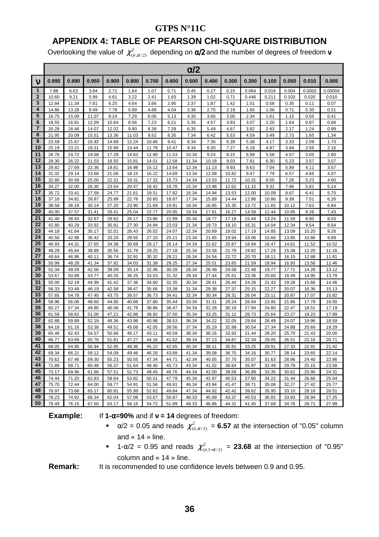### **APPENDIX 4: TABLE OF PEARSON CHI-SQUARE DISTRIBUTION**

Overlooking the value of  $\chi^2_{(\nu,\alpha/2)}$  depending on  $\alpha$ /2 and the number of degrees of freedom  ${\bf v}$ 

|                |                |                |                |                |                |                |                | $\alpha/2$     |                |                |                |                |                |                |                |
|----------------|----------------|----------------|----------------|----------------|----------------|----------------|----------------|----------------|----------------|----------------|----------------|----------------|----------------|----------------|----------------|
| $\mathbf v$    | 0.995          | 0.990          | 0.950          | 0.900          | 0.800          | 0.700          | 0.600          | 0.500          | 0.400          | 0.300          | 0.200          | 0.100          | 0.050          | 0.010          | 0.005          |
| 1              | 7.88           | 6.63           | 3.84           | 2.71           | 1.64           | 1.07           | 0.71           | 0.45           | 0.27           | 0.15           | 0.064          | 0.016          | 0.004          | 0.0002         | 0.00004        |
| $\mathbf{2}$   | 10.60          | 9.21           | 5.99           | 4.61           | 3.22           | 2.41           | 1.83           | 1.39           | 1.02           | 0.71           | 0.446          | 0.211          | 0.103          | 0.020          | 0.010          |
| 3              | 12.84          | 11.34          | 7.81           | 6.25           | 4.64           | 3.66           | 2.95           | 2.37           | 1.87           | 1.42           | 1.01           | 0.58           | 0.35           | 0.11           | 0.07           |
| 4              | 14.86          | 13.28          | 9.49           | 7.78           | 5.99           | 4.88           | 4.04           | 3.36           | 2.75           | 2.19           | 1.65           | 1.06           | 0.71           | 0.30           | 0.21           |
| 5              | 16.75          | 15.09          | 11.07          | 9.24           | 7.29           | 6.06           | 5.13           | 4.35           | 3.66           | 3.00           | 2.34           | 1.61           | 1.15           | 0.55           | 0.41           |
| 6              | 18.55          | 16.81          | 12.59          | 10.64          | 8.56           | 7.23           | 6.21           | 5.35           | 4.57           | 3.83           | 3.07           | 2.20           | 1.64           | 0.87           | 0.68           |
| $\overline{7}$ | 20.28          | 18.48          | 14.07          | 12.02          | 9.80           | 8.38           | 7.28           | 6.35           | 5.49           | 4.67           | 3.82           | 2.83           | 2.17           | 1.24           | 0.99           |
| 8              | 21.95          | 20.09          | 15.51          | 13.36          | 11.03          | 9.52           | 8.35           | 7.34           | 6.42           | 5.53           | 4.59           | 3.49           | 2.73           | 1.65           | 1.34           |
| 9              | 23.59          | 21.67          | 16.92          | 14.68          | 12.24          | 10.66          | 9.41           | 8.34           | 7.36           | 6.39           | 5.38           | 4.17           | 3.33           | 2.09           | 1.73           |
| 10             | 25.19          | 23.21          | 18.31          | 15.99          | 13.44          | 11.78          | 10.47          | 9.34           | 8.30           | 7.27           | 6.18           | 4.87           | 3.94           | 2.56           | 2.16           |
| 11             | 26.76          | 24.72          | 19.68          | 17.28          | 14.63          | 12.90          | 11.53          | 10.34          | 9.24           | 8.15           | 6.99           | 5.58           | 4.57           | 3.05           | 2.60           |
| 12             | 28.30          | 26.22          | 21.03          | 18.55          | 15.81          | 14.01          | 12.58          | 11.34          | 10.18          | 9.03           | 7.81           | 6.30           | 5.23           | 3.57           | 3.07           |
| 13             | 29.82          | 27.69          | 22.36          | 19.81          | 16.98          | 15.12          | 13.64          | 12.34          | 11.13          | 9.93           | 8.63           | 7.04           | 5.89           | 4.11           | 3.57           |
| 14             | 31.32          | 29.14          | 23.68          | 21.06          | 18.15          | 16.22          | 14.69          | 13.34          | 12.08          | 10.82          | 9.47           | 7.79           | 6.57           | 4.66           | 4.07           |
| 15             | 32.80          | 30.58          | 25.00          | 22.31          | 19.31          | 17.32          | 15.73          | 14.34          | 13.03          | 11.72          | 10.31          | 8.55           | 7.26           | 5.23           | 4.60           |
| 16             | 34.27          | 32.00          | 26.30          | 23.54          | 20.47          | 18.42          | 16.78          | 15.34          | 13.98          | 12.62          | 11.15          | 9.31           | 7.96           | 5.81           | 5.14           |
| 17             | 35.72          | 33.41          | 27.59          | 24.77          | 21.61          | 19.51          | 17.82          | 16.34          | 14.94          | 13.53          | 12.00          | 10.09          | 8.67           | 6.41           | 5.70           |
| 18<br>19       | 37.16          | 34.81          | 28.87          | 25.99          | 22.76          | 20.60          | 18.87          | 17.34          | 15.89          | 14.44          | 12.86          | 10.86          | 9.39           | 7.01           | 6.26           |
| 20             | 38.58          | 36.19          | 30.14          | 27.20          | 23.90          | 21.69          | 19.91          | 18.34          | 16.85          | 15.35          | 13.72          | 11.65          | 10.12          | 7.63           | 6.84           |
|                | 40.00          | 37.57          | 31.41          | 28.41          | 25.04          | 22.77          | 20.95          | 19.34          | 17.81          | 16.27          | 14.58          | 12.44          | 10.85          | 8.26           | 7.43           |
| 21<br>22       | 41.40          | 38.93          | 32.67          | 29.62          | 26.17          | 23.86          | 21.99          | 20.34          | 18.77          | 17.18          | 15.44          | 13.24          | 11.59          | 8.90           | 8.03           |
| 23             | 42.80          | 40.29          | 33.92          | 30.81          | 27.30          | 24.94          | 23.03          | 21.34          | 19.73          | 18.10          | 16.31          | 14.04          | 12.34          | 9.54           | 8.64           |
| 24             | 44.18          | 41.64          | 35.17          | 32.01          | 28.43          | 26.02          | 24.07          | 22.34          | 20.69          | 19.02          | 17.19          | 14.85          | 13.09          | 10.20          | 9.26           |
| 25             | 45.56<br>46.93 | 42.98          | 36.42          | 33.20          | 29.55          | 27.10          | 25.11          | 23.34          | 21.65          | 19.94          | 18.06          | 15.66          | 13.85          | 10.86          | 9.89           |
| 26             | 48.29          | 44.31<br>45.64 | 37.65<br>38.89 | 34.38<br>35.56 | 30.68<br>31.79 | 28.17<br>29.25 | 26.14<br>27.18 | 24.34<br>25.34 | 22.62<br>23.58 | 20.87<br>21.79 | 18.94<br>19.82 | 16.47<br>17.29 | 14.61<br>15.38 | 11.52<br>12.20 | 10.52<br>11.16 |
| 27             | 49.64          | 46.96          | 40.11          | 36.74          | 32.91          | 30.32          | 28.21          | 26.34          | 24.54          | 22.72          | 20.70          | 18.11          | 16.15          | 12.88          | 11.81          |
| 28             | 50.99          | 48.28          | 41.34          | 37.92          | 34.03          | 31.39          | 29.25          | 27.34          | 25.51          | 23.65          | 21.59          | 18.94          | 16.93          | 13.56          | 12.46          |
| 29             | 52.34          | 49.59          | 42.56          | 39.09          | 35.14          | 32.46          | 30.28          | 28.34          | 26.48          | 24.58          | 22.48          | 19.77          | 17.71          | 14.26          | 13.12          |
| 30             | 53.67          | 50.89          | 43.77          | 40.26          | 36.25          | 33.53          | 31.32          | 29.34          | 27.44          | 25.51          | 23.36          | 20.60          | 18.49          | 14.95          | 13.79          |
| 31             | 55.00          | 52.19          | 44.99          | 41.42          | 37.36          | 34.60          | 32.35          | 30.34          | 28.41          | 26.44          | 24.26          | 21.43          | 19.28          | 15.66          | 14.46          |
| 32             | 56.33          | 53.49          | 46.19          | 42.58          | 38.47          | 35.66          | 33.38          | 31.34          | 29.38          | 27.37          | 25.15          | 22.27          | 20.07          | 16.36          | 15.13          |
| 33             | 57.65          | 54.78          | 47.40          | 43.75          | 39.57          | 36.73          | 34.41          | 32.34          | 30.34          | 28.31          | 26.04          | 23.11          | 20.87          | 17.07          | 15.82          |
| 34             | 58.96          | 56.06          | 48.60          | 44.90          | 40.68          | 37.80          | 35.44          | 33.34          | 31.31          | 29.24          | 26.94          | 23.95          | 21.66          | 17.79          | 16.50          |
| 35             | 60.27          | 57.34          | 49.80          | 46.06          | 41.78          | 38.86          | 36.47          | 34.34          | 32.28          | 30.18          | 27.84          | 24.80          | 22.47          | 18.51          | 17.19          |
| 36             | 61.58          | 58.62          | 51.00          | 47.21          | 42.88          | 39.92          | 37.50          | 35.34          | 33.25          | 31.12          | 28.73          | 25.64          | 23.27          | 19.23          | 17.89          |
| 37             | 62.88          | 59.89          | 52.19          | 48.36          | 43.98          | 40.98          | 38.53          | 36.34          | 34.22          | 32.05          | 29.64          | 26.49          | 24.07          | 19.96          | 18.59          |
| 38             | 64.18          | 61.16          | 53.38          | 49.51          | 45.08          | 42.05          | 39.56          | 37.34          | 35.19          | 32.99          | 30.54          | 27.34          | 24.88          | 20.69          | 19.29          |
| 39             | 65.48          | 62.43          | 54.57          | 50.66          | 46.17          | 43.11          | 40.59          | 38.34          | 36.16          | 33.93          | 31.44          | 28.20          | 25.70          | 21.43          | 20.00          |
| 40             | 66.77          | 63.69          | 55.76          | 51.81          | 47.27          | 44.16          | 41.62          | 39.34          | 37.13          | 34.87          | 32.34          | 29.05          | 26.51          | 22.16          | 20.71          |
| 41             | 68.05          | 64.95          | 56.94          | 52.95          | 48.36          | 45.22          | 42.65          | 40.34          | 38.11          | 35.81          | 33.25          | 29.91          | 27.33          | 22.91          | 21.42          |
| 42             | 69.34          | 66.21          | 58.12          | 54.09          | 49.46          | 46.28          | 43.68          | 41.34          | 39.08          | 36.75          | 34.16          | 30.77          | 28.14          | 23.65          | 22.14          |
| 43             | 70.62          | 67.46          | 59.30          | 55.23          | 50.55          | 47.34          | 44.71          | 42.34          | 40.05          | 37.70          | 35.07          | 31.63          | 28.96          | 24.40          | 22.86          |
| 44             | 71.89          | 68.71          | 60.48          | 56.37          | 51.64          | 48.40          | 45.73          | 43.34          | 41.02          | 38.64          | 35.97          | 32.49          | 29.79          | 25.15          | 23.58          |
| 45             | 73.17          | 69.96          | 61.66          | 57.51          | 52.73          | 49.45          | 46.76          | 44.34          | 42.00          | 39.58          | 36.88          | 33.35          | 30.61          | 25.90          | 24.31          |
| 46             | 74.44          | 71.20          | 62.83          | 58.64          | 53.82          | 50.51          | 47.79          | 45.34          | 42.97          | 40.53          | 37.80          | 34.22          | 31.44          | 26.66          | 25.04          |
| 47             | 75.70          | 72.44          | 64.00          | 59.77          | 54.91          | 51.56          | 48.81          | 46.34          | 43.94          | 41.47          | 38.71          | 35.08          | 32.27          | 27.42          | 25.77          |
| 48             | 76.97          | 73.68          | 65.17          | 60.91          | 55.99          | 52.62          | 49.84          | 47.34          | 44.92          | 42.42          | 39.62          | 35.95          | 33.10          | 28.18          | 26.51          |
| 49             | 78.23          | 74.92          | 66.34          | 62.04          | 57.08          | 53.67          | 50.87          | 48.33          | 45.89          | 43.37          | 40.53          | 36.82          | 33.93          | 28.94          | 27.25          |
| 50             | 79.49          | 76.15          | 67.50          | 63.17          | 58.16          | 54.72          | 51.89          | 49.33          | 46.86          | 44.31          | 41.45          | 37.69          | 34.76          | 29.71          | 27.99          |

**Example:** If **1-**α**=90%** and if ν **= 14** degrees of freedom:

- $\alpha/2 = 0.05$  and reads  $\chi^2_{(\nu, \alpha/2)} = 6.57$  at the intersection of "0.05" column and « 14 » line.
- 1-α/2 = 0.95 and reads  $\chi^2_{(v,1-\alpha/2)}$  = **23.68** at the intersection of "0.95" column and « 14 » line.

**Remark:** It is recommended to use confidence levels between 0.9 and 0.95.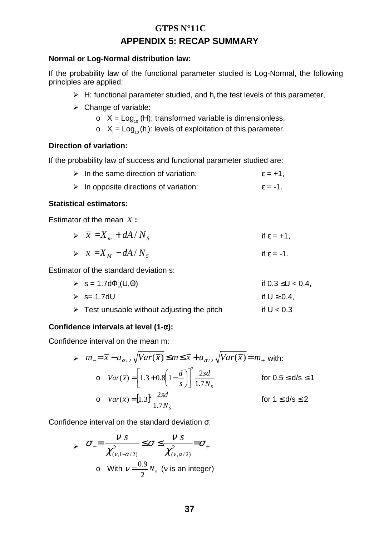### **GTPS N°11C APPENDIX 5: RECAP SUMMARY**

#### **Normal or Log-Normal distribution law:**

If the probability law of the functional parameter studied is Log-Normal, the following principles are applied:

- $\triangleright$  H: functional parameter studied, and h<sub>i</sub> the test levels of this parameter,
- > Change of variable:
	- $\circ$  X = Log<sub>10</sub> (H): transformed variable is dimensionless,
	- $\circ$   $X_i = Log_{10}(h_i)$ : levels of exploitation of this parameter.

#### **Direction of variation:**

If the probability law of success and functional parameter studied are:

| $\triangleright$ In the same direction of variation:  | $\epsilon = +1$ ,    |
|-------------------------------------------------------|----------------------|
| $\triangleright$ In opposite directions of variation: | $\varepsilon = -1$ . |

#### **Statistical estimators:**

Estimator of the mean  $\bar{x}$ :

|  | $\triangleright$ $\overline{x} = X_m + dA/N_s$ | if $\varepsilon = +1$ , |
|--|------------------------------------------------|-------------------------|
|--|------------------------------------------------|-------------------------|

$$
\triangleright \quad \overline{x} = X_M - dA / N_S \qquad \text{if } \varepsilon = -1.
$$

Estimator of the standard deviation s:

| $\triangleright$ s = 1.7d $\Phi$ <sub>s</sub> (U, $\Theta$ ) | if 0.3 ≤U < 0.4,  |
|--------------------------------------------------------------|-------------------|
| $\triangleright$ s= 1.7dU                                    | if $U \geq 0.4$ . |

 $\triangleright$  Test unusable without adjusting the pitch if U < 0.3

#### **Confidence intervals at level (1-**α**):**

Confidence interval on the mean m:

$$
\triangleright m_{-} = \overline{x} - u_{\alpha/2} \sqrt{Var(\overline{x})} \le m \le \overline{x} + u_{\alpha/2} \sqrt{Var(\overline{x})} = m_{+} \text{ with:}
$$
  
\n
$$
\circ Var(\overline{x}) = \left[ 1.3 + 0.8 \left( 1 - \frac{d}{s} \right) \right]^{2} \frac{2sd}{1.7N_{s}} \qquad \text{for } 0.5 \le d/s \le 1
$$
  
\n
$$
\circ Var(\overline{x}) = \left[ 1.3 \right]^{2} \frac{2sd}{1.7N_{s}} \qquad \text{for } 1 \le d/s \le 2
$$

Confidence interval on the standard deviation σ:

$$
\sum \sigma_{-} = \frac{V \, S}{\chi_{(v,1-\alpha/2)}^2} \leq \sigma \leq \frac{V \, S}{\chi_{(v,\alpha/2)}^2} = \sigma_{+}
$$
  
o With  $v = \frac{0.9}{2} N_s$  (v is an integer)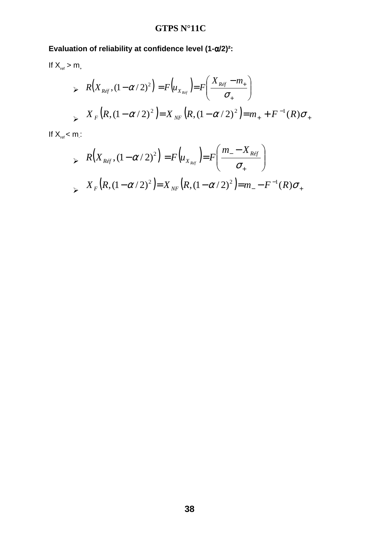### **Evaluation of reliability at confidence level (1-**α**/2)²:**

If 
$$
X_{ref} > m_+
$$
  
\n
$$
\triangleright R(X_{Ref}, (1 - \alpha/2)^2) = F(u_{X_{Ref}}) = F\left(\frac{X_{Ref} - m_+}{\sigma_+}\right)
$$
\n
$$
\triangleright X_F(R, (1 - \alpha/2)^2) = X_{NF}(R, (1 - \alpha/2)^2) = m_+ + F^{-1}(R)\sigma_+
$$

If  $X_{ref} < m$ :

> 
$$
R(X_{Ref}, (1 - \alpha/2)^2) = F(u_{X_{Ref}}) = F\left(\frac{m_{-} - X_{Ref}}{\sigma_{+}}\right)
$$
  
\n>  $X_F(R, (1 - \alpha/2)^2) = X_{NF}(R, (1 - \alpha/2)^2) = m_{-} - F^{-1}(R)\sigma_{+}$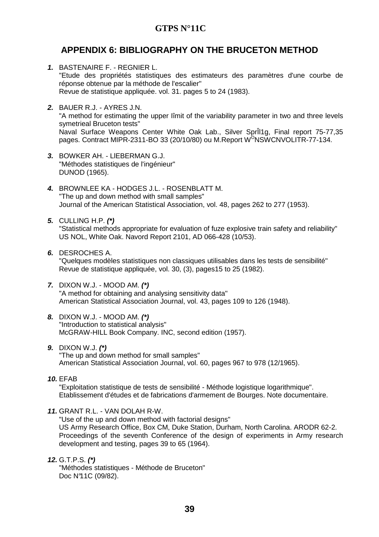### **APPENDIX 6: BIBLIOGRAPHY ON THE BRUCETON METHOD**

- **1.** BASTENAIRE F. REGNIER L. "Etude des propriétés statistiques des estimateurs des paramètres d'une courbe de réponse obtenue par la méthode de l'escalier" Revue de statistique appliquée. vol. 31. pages 5 to 24 (1983).
- **2.** BAUER R.J. AYRES J.N. "A method for estimating the upper Iîmit of the variability parameter in two and three levels symetrieal Bruceton tests" Naval Surface Weapons Center White Oak Lab., Silver SprÎl1g, Final report 75-77,35 pages. Contract MIPR-2311-BO 33 (20/10/80) ou M.Report W<sup>o</sup>NSWCNVOLITR-77-134.
- **3.** BOWKER AH. LlEBERMAN G.J. "Méthodes statistiques de l'ingénieur" DUNOD (1965).
- **4.** BROWNLEE KA HODGES J.L. ROSENBLATT M. "The up and down method with small samples" Journal of the American Statistical Association, vol. 48, pages 262 to 277 (1953).
- **5.** CULLING H.P. **(\*)** "Statistical methods appropriate for evaluation of fuze explosive train safety and reliability" US NOL, White Oak. Navord Report 2101, AD 066-428 (10/53).
- **6.** DESROCHES A.

"Quelques modèles statistiques non classiques utilisables dans les tests de sensibilité" Revue de statistique appliquée, vol. 30, (3), pages15 to 25 (1982).

- **7.** DIXON W.J. MOOD AM. **(\*)** "A method for obtaining and analysing sensitivity data" American Statistical Association Journal, vol. 43, pages 109 to 126 (1948).
- **8.** DIXON W.J. MOOD AM. **(\*)** "Introduction to statistical analysis" McGRAW-HILL Book Company. INC, second edition (1957).
- **9.** DIXON W.J. **(\*)** "The up and down method for small samples" American Statistical Association Journal, vol. 60, pages 967 to 978 (12/1965).
- **10.** EFAB

"Exploitation statistique de tests de sensibilité - Méthode logistique logarithmique". Etablissement d'études et de fabrications d'armement de Bourges. Note documentaire.

**11.** GRANT R.L. - VAN DOLAH R-W.

"Use of the up and down method with factorial designs" US Army Research Office, Box CM, Duke Station, Durham, North Carolina. ARODR 62-2. Proceedings of the seventh Conference of the design of experiments in Army research development and testing, pages 39 to 65 (1964).

**12.** G.T.P.S. **(\*)** "Méthodes statistiques - Méthode de Bruceton" Doc N°11C (09/82).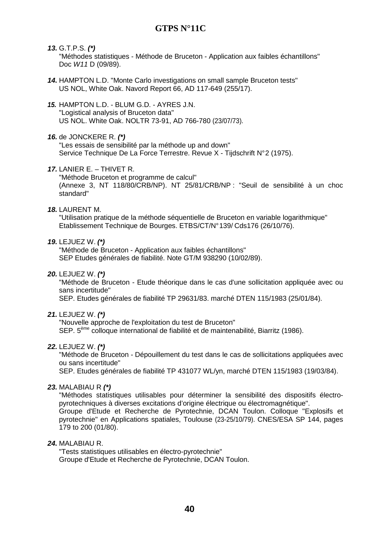#### **13.** G.T.P.S. **(\*)**

"Méthodes statistiques - Méthode de Bruceton - Application aux faibles échantillons" Doc *W11* D (09/89).

- **14.** HAMPTON L.D. "Monte Carlo investigations on small sample Bruceton tests" US NOL, White Oak. Navord Report 66, AD 117-649 (255/17).
- **15.** HAMPTON L.D. BLUM G.D. AYRES J.N. "Logistical analysis of Bruceton data" US NOL. White Oak. NOLTR 73-91, AD 766-780 (23/07/73).

#### **16.** de JONCKERE R. **(\*)**

"Les essais de sensibilité par la méthode up and down" Service Technique De La Force Terrestre. Revue X - Tijdschrift N°2 (1975).

#### **17.** LANIER E. – THIVET R.

"Méthode Bruceton et programme de calcul"

(Annexe 3, NT 118/80/CRB/NP). NT 25/81/CRB/NP : "Seuil de sensibilité à un choc standard"

#### **18.** LAURENT M.

"Utilisation pratique de la méthode séquentielle de Bruceton en variable logarithmique" Etablissement Technique de Bourges. ETBS/CT/N° 139/ Cds176 (26/10/76).

#### **19.** LEJUEZ W. **(\*)**

"Méthode de Bruceton - Application aux faibles échantillons" SEP Etudes générales de fiabilité. Note GT/M 938290 (10/02/89).

**20.** LEJUEZ W. **(\*)**

"Méthode de Bruceton - Etude théorique dans le cas d'une sollicitation appliquée avec ou sans incertitude"

SEP. Etudes générales de fiabilité TP 29631/83. marché DTEN 115/1983 (25/01/84).

#### **21.** LEJUEZ W. **(\*)**

"Nouvelle approche de l'exploitation du test de Bruceton" SEP. 5<sup>ème</sup> colloque international de fiabilité et de maintenabilité, Biarritz (1986).

#### **22.** LEJUEZ W. **(\*)**

"Méthode de Bruceton - Dépouillement du test dans le cas de sollicitations appliquées avec ou sans incertitude"

SEP. Etudes générales de fiabilité TP 431077 WL/yn, marché DTEN 115/1983 (19/03/84).

#### **23.** MALABIAU R **(\*)**

"Méthodes statistiques utilisables pour déterminer la sensibilité des dispositifs électropyrotechniques à diverses excitations d'origine électrique ou électromagnétique". Groupe d'Etude et Recherche de Pyrotechnie, DCAN Toulon. Colloque "Explosifs et pyrotechnie" en Applications spatiales, Toulouse (23-25/10/79). CNES/ESA SP 144, pages 179 to 200 (01/80).

#### **24.** MALABIAU R.

"Tests statistiques utilisables en électro-pyrotechnie" Groupe d'Etude et Recherche de Pyrotechnie, DCAN Toulon.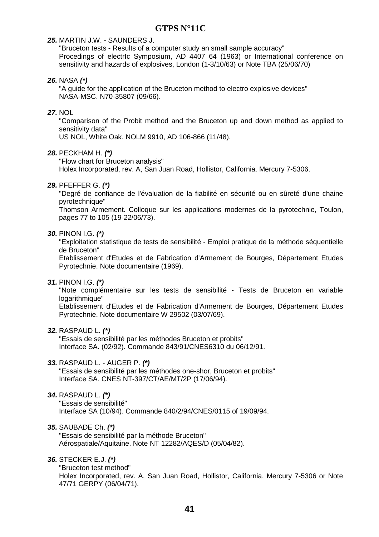#### **25.** MARTIN J.W. - SAUNDERS J.

"Bruceton tests - Results of a computer study an small sample accuracy" Procedings of electrIc Symposium, AD 4407 64 (1963) or International conference on sensitivity and hazards of explosives, London (1-3/10/63) or Note TBA (25/06/70)

#### **26.** NASA **(\*)**

"A guide for the application of the Bruceton method to electro explosive devices" NASA-MSC. N70-35807 (09/66).

#### **27.** NOL

"Comparison of the Probit method and the Bruceton up and down method as applied to sensitivity data"

US NOL, White Oak. NOLM 9910, AD 106-866 (11/48).

#### **28.** PECKHAM H. **(\*)**

"Flow chart for Bruceton analysis"

Holex Incorporated, rev. A, San Juan Road, Hollistor, California. Mercury 7-5306.

#### **29.** PFEFFER G. **(\*)**

"Degré de confiance de l'évaluation de la fiabilité en sécurité ou en sûreté d'une chaine pyrotechnique"

Thomson Armement. Colloque sur les applications modernes de la pyrotechnie, Toulon, pages 77 to 105 (19-22/06/73).

#### **30.** PINON I.G. **(\*)**

"Exploitation statistique de tests de sensibilité - Emploi pratique de la méthode séquentielle de Bruceton"

Etablissement d'Etudes et de Fabrication d'Armement de Bourges, Département Etudes Pyrotechnie. Note documentaire (1969).

#### **31.** PINON I.G. **(\*)**

"Note complémentaire sur les tests de sensibilité - Tests de Bruceton en variable logarithmique"

Etablissement d'Etudes et de Fabrication d'Armement de Bourges, Département Etudes Pyrotechnie. Note documentaire W 29502 (03/07/69).

**32.** RASPAUD L. **(\*)**

"Essais de sensibilité par les méthodes Bruceton et probits" Interface SA. (02/92). Commande 843/91/CNES6310 du 06/12/91.

#### **33.** RASPAUD L. - AUGER P. **(\*)**

"Essais de sensibilité par les méthodes one-shor, Bruceton et probits" Interface SA. CNES NT-397/CT/AE/MT/2P (17/06/94).

#### **34.** RASPAUD L. **(\*)**

"Essais de sensibilité"

Interface SA (10/94). Commande 840/2/94/CNES/0115 of 19/09/94.

#### **35.** SAUBADE Ch. **(\*)**

"Essais de sensibilité par la méthode Bruceton" Aérospatiale/Aquitaine. Note NT 12282/AQES/D (05/04/82).

#### **36.** STECKER E.J. **(\*)**

"Bruceton test method" Holex Incorporated, rev. A, San Juan Road, Hollistor, California. Mercury 7-5306 or Note 47/71 GERPY (06/04/71).